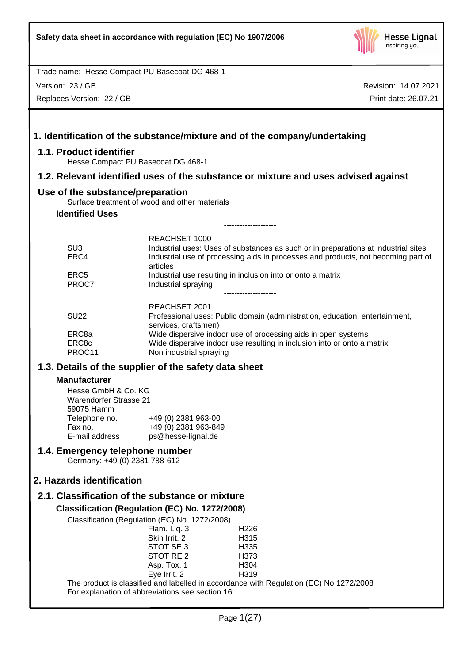

Version: 23 / GB

Replaces Version: 22 / GB

|                                                                  | 1. Identification of the substance/mixture and of the company/undertaking                                                                                                           |  |
|------------------------------------------------------------------|-------------------------------------------------------------------------------------------------------------------------------------------------------------------------------------|--|
| 1.1. Product identifier                                          | Hesse Compact PU Basecoat DG 468-1                                                                                                                                                  |  |
|                                                                  | 1.2. Relevant identified uses of the substance or mixture and uses advised against                                                                                                  |  |
| Use of the substance/preparation                                 |                                                                                                                                                                                     |  |
| <b>Identified Uses</b>                                           | Surface treatment of wood and other materials                                                                                                                                       |  |
|                                                                  | -----------------                                                                                                                                                                   |  |
|                                                                  | REACHSET 1000                                                                                                                                                                       |  |
| SU <sub>3</sub><br>ERC4                                          | Industrial uses: Uses of substances as such or in preparations at industrial sites<br>Industrial use of processing aids in processes and products, not becoming part of<br>articles |  |
| ERC <sub>5</sub><br>PROC7                                        | Industrial use resulting in inclusion into or onto a matrix<br>Industrial spraying                                                                                                  |  |
| <b>SU22</b>                                                      | REACHSET 2001<br>Professional uses: Public domain (administration, education, entertainment,                                                                                        |  |
|                                                                  | services, craftsmen)                                                                                                                                                                |  |
| ERC8a                                                            | Wide dispersive indoor use of processing aids in open systems                                                                                                                       |  |
| ERC8c<br>PROC11                                                  | Wide dispersive indoor use resulting in inclusion into or onto a matrix<br>Non industrial spraying                                                                                  |  |
|                                                                  | 1.3. Details of the supplier of the safety data sheet                                                                                                                               |  |
| <b>Manufacturer</b>                                              |                                                                                                                                                                                     |  |
| Hesse GmbH & Co. KG                                              |                                                                                                                                                                                     |  |
| <b>Warendorfer Strasse 21</b><br>59075 Hamm                      |                                                                                                                                                                                     |  |
| Telephone no.                                                    | +49 (0) 2381 963-00                                                                                                                                                                 |  |
| Fax no.                                                          | +49 (0) 2381 963-849                                                                                                                                                                |  |
| E-mail address                                                   | ps@hesse-lignal.de                                                                                                                                                                  |  |
| 1.4. Emergency telephone number<br>Germany: +49 (0) 2381 788-612 |                                                                                                                                                                                     |  |
| 2. Hazards identification                                        |                                                                                                                                                                                     |  |
|                                                                  | 2.1. Classification of the substance or mixture                                                                                                                                     |  |
|                                                                  | Classification (Regulation (EC) No. 1272/2008)                                                                                                                                      |  |
|                                                                  | Classification (Regulation (EC) No. 1272/2008)                                                                                                                                      |  |
|                                                                  | Flam. Liq. 3<br>H <sub>226</sub><br>Skin Irrit. 2<br>H315                                                                                                                           |  |
|                                                                  | STOT SE 3<br>H335                                                                                                                                                                   |  |
|                                                                  | STOT RE <sub>2</sub><br>H373                                                                                                                                                        |  |
|                                                                  | Asp. Tox. 1<br>H304                                                                                                                                                                 |  |
|                                                                  | Eye Irrit. 2<br>H319<br>The product is classified and labelled in accordance with Regulation (EC) No 1272/2008                                                                      |  |
|                                                                  | For explanation of abbreviations see section 16.                                                                                                                                    |  |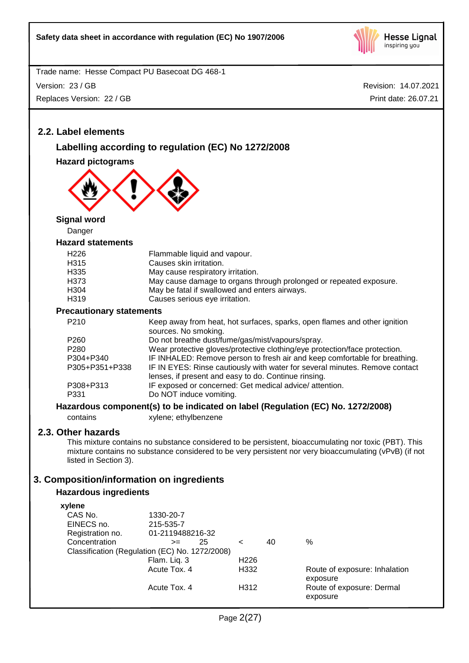

Version: 23 / GB

Replaces Version: 22 / GB

Revision: 14.07.2021 Print date: 26.07.21

# **2.2. Label elements**

# **Labelling according to regulation (EC) No 1272/2008**

**Hazard pictograms**



**Signal word**

Danger

## **Hazard statements**

| H <sub>226</sub> | Flammable liquid and vapour.                                       |
|------------------|--------------------------------------------------------------------|
| H <sub>315</sub> | Causes skin irritation.                                            |
| H335             | May cause respiratory irritation.                                  |
| H <sub>373</sub> | May cause damage to organs through prolonged or repeated exposure. |
| H <sub>304</sub> | May be fatal if swallowed and enters airways.                      |
| H <sub>319</sub> | Causes serious eye irritation.                                     |
|                  |                                                                    |

#### **Precautionary statements**

| P <sub>210</sub>  | Keep away from heat, hot surfaces, sparks, open flames and other ignition<br>sources. No smoking.                                   |
|-------------------|-------------------------------------------------------------------------------------------------------------------------------------|
| P260              | Do not breathe dust/fume/gas/mist/vapours/spray.                                                                                    |
| P280              | Wear protective gloves/protective clothing/eye protection/face protection.                                                          |
| P304+P340         | IF INHALED: Remove person to fresh air and keep comfortable for breathing.                                                          |
| P305+P351+P338    | IF IN EYES: Rinse cautiously with water for several minutes. Remove contact<br>lenses, if present and easy to do. Continue rinsing. |
| P308+P313<br>P331 | IF exposed or concerned: Get medical advice/attention.<br>Do NOT induce vomiting.                                                   |

## **Hazardous component(s) to be indicated on label (Regulation (EC) No. 1272/2008)**

contains xylene; ethylbenzene

# **2.3. Other hazards**

This mixture contains no substance considered to be persistent, bioaccumulating nor toxic (PBT). This mixture contains no substance considered to be very persistent nor very bioaccumulating (vPvB) (if not listed in Section 3).

# **3. Composition/information on ingredients**

# **Hazardous ingredients**

| xylene                                         |                  |    |                  |    |                               |
|------------------------------------------------|------------------|----|------------------|----|-------------------------------|
| CAS No.                                        | 1330-20-7        |    |                  |    |                               |
| EINECS no.                                     | 215-535-7        |    |                  |    |                               |
| Registration no.                               | 01-2119488216-32 |    |                  |    |                               |
| Concentration                                  | $>=$             | 25 | $\,<\,$          | 40 | $\%$                          |
| Classification (Regulation (EC) No. 1272/2008) |                  |    |                  |    |                               |
|                                                | Flam. Liq. 3     |    | H <sub>226</sub> |    |                               |
|                                                | Acute Tox, 4     |    | H332             |    | Route of exposure: Inhalation |
|                                                |                  |    |                  |    | exposure                      |
|                                                | Acute Tox, 4     |    | H312             |    | Route of exposure: Dermal     |
|                                                |                  |    |                  |    | exposure                      |
|                                                |                  |    |                  |    |                               |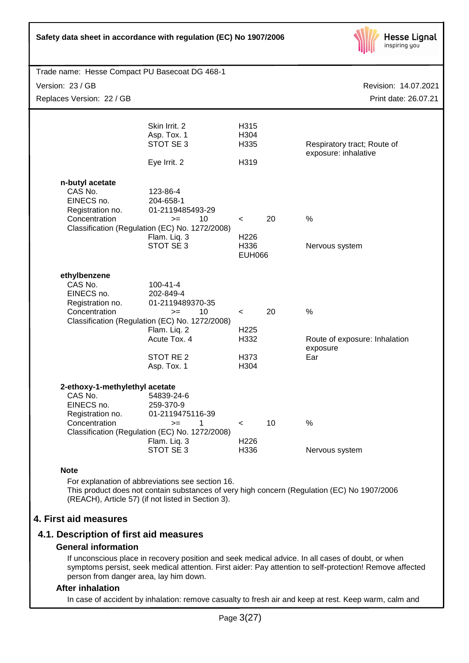| Safety data sheet in accordance with regulation (EC) No 1907/2006                            |                                                                                                                                                                                        |                                                      |    | <b>Hesse Lignal</b><br>inspiring you                  |
|----------------------------------------------------------------------------------------------|----------------------------------------------------------------------------------------------------------------------------------------------------------------------------------------|------------------------------------------------------|----|-------------------------------------------------------|
| Trade name: Hesse Compact PU Basecoat DG 468-1                                               |                                                                                                                                                                                        |                                                      |    |                                                       |
| Version: 23 / GB                                                                             |                                                                                                                                                                                        |                                                      |    | Revision: 14.07.2021                                  |
| Replaces Version: 22 / GB                                                                    |                                                                                                                                                                                        |                                                      |    | Print date: 26.07.21                                  |
|                                                                                              | Skin Irrit. 2<br>Asp. Tox. 1<br>STOT SE 3<br>Eye Irrit. 2                                                                                                                              | H315<br>H304<br>H335<br>H319                         |    | Respiratory tract; Route of<br>exposure: inhalative   |
| n-butyl acetate<br>CAS No.<br>EINECS no.<br>Registration no.<br>Concentration                | 123-86-4<br>204-658-1<br>01-2119485493-29<br>10<br>$>=$<br>Classification (Regulation (EC) No. 1272/2008)<br>Flam. Liq. 3<br>STOT SE 3                                                 | $\,<\,$<br>H <sub>226</sub><br>H336<br><b>EUH066</b> | 20 | %<br>Nervous system                                   |
| ethylbenzene<br>CAS No.<br>EINECS no.<br>Registration no.<br>Concentration                   | $100 - 41 - 4$<br>202-849-4<br>01-2119489370-35<br>10<br>$>=$<br>Classification (Regulation (EC) No. 1272/2008)<br>Flam. Liq. 2<br>Acute Tox. 4<br>STOT RE <sub>2</sub><br>Asp. Tox. 1 | $\,<\,$<br>H <sub>225</sub><br>H332<br>H373<br>H304  | 20 | %<br>Route of exposure: Inhalation<br>exposure<br>Ear |
| 2-ethoxy-1-methylethyl acetate<br>CAS No.<br>EINECS no.<br>Registration no.<br>Concentration | 54839-24-6<br>259-370-9<br>01-2119475116-39<br>$>=$<br>1<br>Classification (Regulation (EC) No. 1272/2008)                                                                             | $\,<$                                                | 10 | $\%$                                                  |

#### **Note**

For explanation of abbreviations see section 16. This product does not contain substances of very high concern (Regulation (EC) No 1907/2006 (REACH), Article 57) (if not listed in Section 3).

H336 Nervous system

Flam. Liq. 3 H226

#### **4. First aid measures**

#### **4.1. Description of first aid measures**

## **General information**

If unconscious place in recovery position and seek medical advice. In all cases of doubt, or when symptoms persist, seek medical attention. First aider: Pay attention to self-protection! Remove affected person from danger area, lay him down.

#### **After inhalation**

In case of accident by inhalation: remove casualty to fresh air and keep at rest. Keep warm, calm and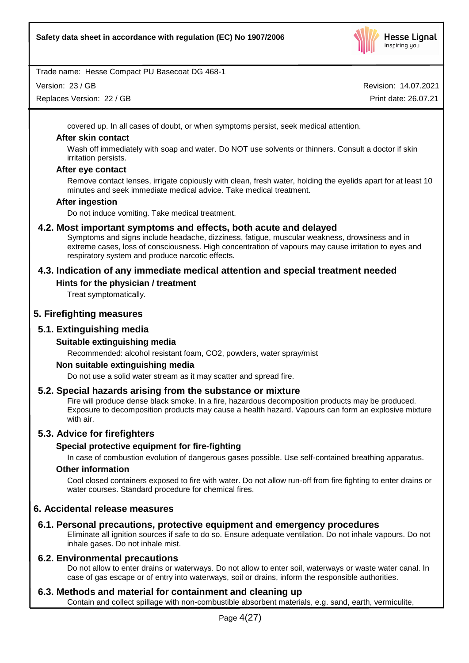

Version: 23 / GB

Replaces Version: 22 / GB

Revision: 14.07.2021 Print date: 26.07.21

covered up. In all cases of doubt, or when symptoms persist, seek medical attention.

## **After skin contact**

Wash off immediately with soap and water. Do NOT use solvents or thinners. Consult a doctor if skin irritation persists.

## **After eye contact**

Remove contact lenses, irrigate copiously with clean, fresh water, holding the eyelids apart for at least 10 minutes and seek immediate medical advice. Take medical treatment.

## **After ingestion**

Do not induce vomiting. Take medical treatment.

# **4.2. Most important symptoms and effects, both acute and delayed**

Symptoms and signs include headache, dizziness, fatigue, muscular weakness, drowsiness and in extreme cases, loss of consciousness. High concentration of vapours may cause irritation to eyes and respiratory system and produce narcotic effects.

# **4.3. Indication of any immediate medical attention and special treatment needed**

## **Hints for the physician / treatment**

Treat symptomatically.

# **5. Firefighting measures**

## **5.1. Extinguishing media**

## **Suitable extinguishing media**

Recommended: alcohol resistant foam, CO2, powders, water spray/mist

## **Non suitable extinguishing media**

Do not use a solid water stream as it may scatter and spread fire.

## **5.2. Special hazards arising from the substance or mixture**

Fire will produce dense black smoke. In a fire, hazardous decomposition products may be produced. Exposure to decomposition products may cause a health hazard. Vapours can form an explosive mixture with air.

# **5.3. Advice for firefighters**

## **Special protective equipment for fire-fighting**

In case of combustion evolution of dangerous gases possible. Use self-contained breathing apparatus.

## **Other information**

Cool closed containers exposed to fire with water. Do not allow run-off from fire fighting to enter drains or water courses. Standard procedure for chemical fires.

# **6. Accidental release measures**

# **6.1. Personal precautions, protective equipment and emergency procedures**

Eliminate all ignition sources if safe to do so. Ensure adequate ventilation. Do not inhale vapours. Do not inhale gases. Do not inhale mist.

# **6.2. Environmental precautions**

Do not allow to enter drains or waterways. Do not allow to enter soil, waterways or waste water canal. In case of gas escape or of entry into waterways, soil or drains, inform the responsible authorities.

# **6.3. Methods and material for containment and cleaning up**

Contain and collect spillage with non-combustible absorbent materials, e.g. sand, earth, vermiculite,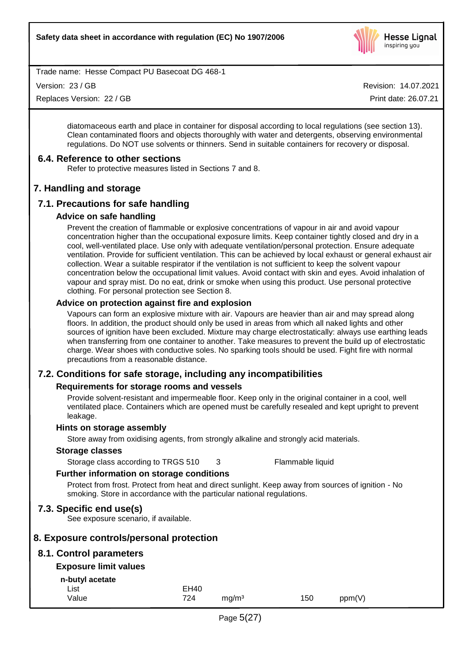

Version: 23 / GB

Replaces Version: 22 / GB

Revision: 14.07.2021 Print date: 26.07.21

diatomaceous earth and place in container for disposal according to local regulations (see section 13). Clean contaminated floors and objects thoroughly with water and detergents, observing environmental regulations. Do NOT use solvents or thinners. Send in suitable containers for recovery or disposal.

## **6.4. Reference to other sections**

Refer to protective measures listed in Sections 7 and 8.

# **7. Handling and storage**

# **7.1. Precautions for safe handling**

#### **Advice on safe handling**

Prevent the creation of flammable or explosive concentrations of vapour in air and avoid vapour concentration higher than the occupational exposure limits. Keep container tightly closed and dry in a cool, well-ventilated place. Use only with adequate ventilation/personal protection. Ensure adequate ventilation. Provide for sufficient ventilation. This can be achieved by local exhaust or general exhaust air collection. Wear a suitable respirator if the ventilation is not sufficient to keep the solvent vapour concentration below the occupational limit values. Avoid contact with skin and eyes. Avoid inhalation of vapour and spray mist. Do no eat, drink or smoke when using this product. Use personal protective clothing. For personal protection see Section 8.

#### **Advice on protection against fire and explosion**

Vapours can form an explosive mixture with air. Vapours are heavier than air and may spread along floors. In addition, the product should only be used in areas from which all naked lights and other sources of ignition have been excluded. Mixture may charge electrostatically: always use earthing leads when transferring from one container to another. Take measures to prevent the build up of electrostatic charge. Wear shoes with conductive soles. No sparking tools should be used. Fight fire with normal precautions from a reasonable distance.

## **7.2. Conditions for safe storage, including any incompatibilities**

## **Requirements for storage rooms and vessels**

Provide solvent-resistant and impermeable floor. Keep only in the original container in a cool, well ventilated place. Containers which are opened must be carefully resealed and kept upright to prevent leakage.

#### **Hints on storage assembly**

Store away from oxidising agents, from strongly alkaline and strongly acid materials.

#### **Storage classes**

Storage class according to TRGS 510 3 Flammable liquid

## **Further information on storage conditions**

Protect from frost. Protect from heat and direct sunlight. Keep away from sources of ignition - No smoking. Store in accordance with the particular national regulations.

## **7.3. Specific end use(s)**

See exposure scenario, if available.

## **8. Exposure controls/personal protection**

## **8.1. Control parameters**

## **Exposure limit values**

**n-butyl acetate**

| List  | <b>EH40</b> |                   |     |        |
|-------|-------------|-------------------|-----|--------|
| Value | 724         | mg/m <sup>3</sup> | 150 | ppm(V) |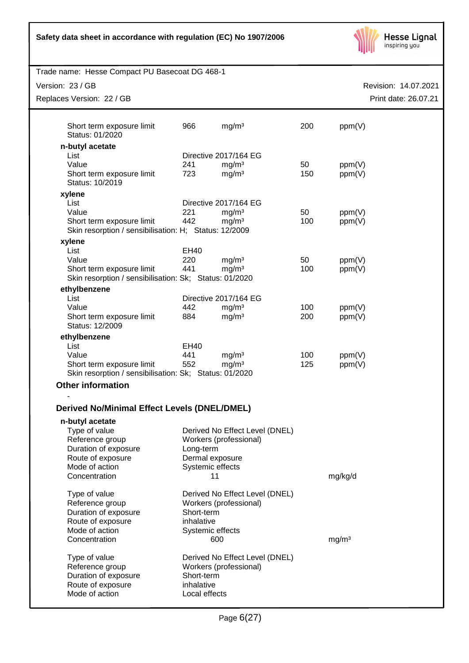|  |  | Safety data sheet in accordance with regulation (EC) No 1907/2006 |
|--|--|-------------------------------------------------------------------|
|  |  |                                                                   |



| Trade name: Hesse Compact PU Basecoat DG 468-1                                      |               |                                |     |                   |                                              |
|-------------------------------------------------------------------------------------|---------------|--------------------------------|-----|-------------------|----------------------------------------------|
| Version: 23 / GB<br>Replaces Version: 22 / GB                                       |               |                                |     |                   | Revision: 14.07.2021<br>Print date: 26.07.21 |
|                                                                                     |               |                                |     |                   |                                              |
| Short term exposure limit<br>Status: 01/2020                                        | 966           | mg/m <sup>3</sup>              | 200 | ppm(V)            |                                              |
| n-butyl acetate                                                                     |               |                                |     |                   |                                              |
| List                                                                                |               | Directive 2017/164 EG          |     |                   |                                              |
| Value                                                                               | 241           | mg/m <sup>3</sup>              | 50  | ppm(V)            |                                              |
| Short term exposure limit<br>Status: 10/2019                                        | 723           | mg/m <sup>3</sup>              | 150 | ppm(V)            |                                              |
| xylene                                                                              |               |                                |     |                   |                                              |
| List                                                                                |               | Directive 2017/164 EG          |     |                   |                                              |
| Value                                                                               | 221           | mg/m <sup>3</sup>              | 50  | ppm(V)            |                                              |
| Short term exposure limit<br>Skin resorption / sensibilisation: H; Status: 12/2009  | 442           | mg/m <sup>3</sup>              | 100 | ppm(V)            |                                              |
| xylene                                                                              |               |                                |     |                   |                                              |
| List                                                                                | <b>EH40</b>   |                                |     |                   |                                              |
| Value                                                                               | 220           | mg/m <sup>3</sup>              | 50  | ppm(V)            |                                              |
| Short term exposure limit<br>Skin resorption / sensibilisation: Sk; Status: 01/2020 | 441           | mg/m <sup>3</sup>              | 100 | ppm(V)            |                                              |
| ethylbenzene                                                                        |               |                                |     |                   |                                              |
| List                                                                                |               | Directive 2017/164 EG          |     |                   |                                              |
| Value                                                                               | 442           | mg/m <sup>3</sup>              | 100 | ppm(V)            |                                              |
| Short term exposure limit<br>Status: 12/2009                                        | 884           | mg/m <sup>3</sup>              | 200 | ppm(V)            |                                              |
| ethylbenzene                                                                        |               |                                |     |                   |                                              |
| List                                                                                | <b>EH40</b>   |                                |     |                   |                                              |
| Value                                                                               | 441           | mg/m <sup>3</sup>              | 100 | ppm(V)            |                                              |
| Short term exposure limit<br>Skin resorption / sensibilisation: Sk; Status: 01/2020 | 552           | mg/m <sup>3</sup>              | 125 | ppm(V)            |                                              |
| <b>Other information</b>                                                            |               |                                |     |                   |                                              |
| <b>Derived No/Minimal Effect Levels (DNEL/DMEL)</b>                                 |               |                                |     |                   |                                              |
| n-butyl acetate                                                                     |               |                                |     |                   |                                              |
| Type of value                                                                       |               | Derived No Effect Level (DNEL) |     |                   |                                              |
| Reference group                                                                     |               | Workers (professional)         |     |                   |                                              |
| Duration of exposure                                                                | Long-term     |                                |     |                   |                                              |
| Route of exposure                                                                   |               | Dermal exposure                |     |                   |                                              |
| Mode of action                                                                      |               | Systemic effects               |     |                   |                                              |
| Concentration                                                                       |               | 11                             |     | mg/kg/d           |                                              |
| Type of value                                                                       |               | Derived No Effect Level (DNEL) |     |                   |                                              |
| Reference group                                                                     |               | Workers (professional)         |     |                   |                                              |
| Duration of exposure                                                                | Short-term    |                                |     |                   |                                              |
| Route of exposure                                                                   | inhalative    |                                |     |                   |                                              |
| Mode of action                                                                      |               | Systemic effects               |     |                   |                                              |
| Concentration                                                                       |               | 600                            |     | mg/m <sup>3</sup> |                                              |
| Type of value                                                                       |               | Derived No Effect Level (DNEL) |     |                   |                                              |
| Reference group                                                                     |               | Workers (professional)         |     |                   |                                              |
| Duration of exposure                                                                | Short-term    |                                |     |                   |                                              |
| Route of exposure                                                                   | inhalative    |                                |     |                   |                                              |
| Mode of action                                                                      | Local effects |                                |     |                   |                                              |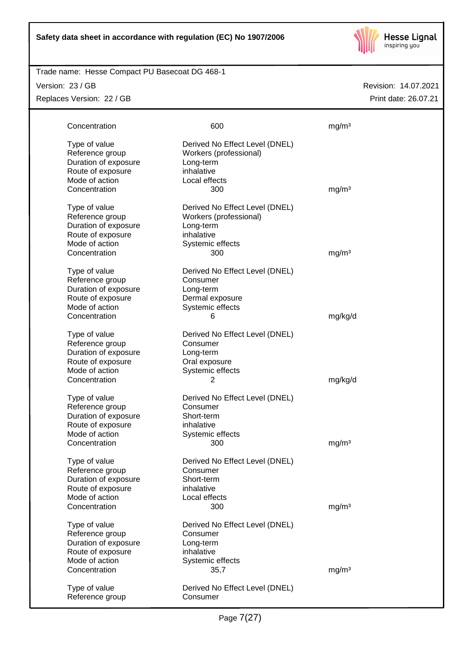

#### Trade name: Hesse Compact PU Basecoat DG 468-1

Version: 23 / GB

Replaces Version: 22 / GB

| Concentration                                                                                                    | 600                                                                                                            | mg/m <sup>3</sup> |
|------------------------------------------------------------------------------------------------------------------|----------------------------------------------------------------------------------------------------------------|-------------------|
| Type of value<br>Reference group<br>Duration of exposure<br>Route of exposure<br>Mode of action                  | Derived No Effect Level (DNEL)<br>Workers (professional)<br>Long-term<br>inhalative<br>Local effects           |                   |
| Concentration                                                                                                    | 300                                                                                                            | mg/m <sup>3</sup> |
| Type of value<br>Reference group<br>Duration of exposure<br>Route of exposure<br>Mode of action<br>Concentration | Derived No Effect Level (DNEL)<br>Workers (professional)<br>Long-term<br>inhalative<br>Systemic effects<br>300 | mg/m <sup>3</sup> |
| Type of value<br>Reference group<br>Duration of exposure<br>Route of exposure<br>Mode of action                  | Derived No Effect Level (DNEL)<br>Consumer<br>Long-term<br>Dermal exposure<br>Systemic effects                 |                   |
| Concentration                                                                                                    | 6                                                                                                              | mg/kg/d           |
| Type of value<br>Reference group<br>Duration of exposure<br>Route of exposure<br>Mode of action                  | Derived No Effect Level (DNEL)<br>Consumer<br>Long-term<br>Oral exposure<br>Systemic effects                   |                   |
| Concentration                                                                                                    | $\overline{2}$                                                                                                 | mg/kg/d           |
| Type of value<br>Reference group<br>Duration of exposure<br>Route of exposure<br>Mode of action<br>Concentration | Derived No Effect Level (DNEL)<br>Consumer<br>Short-term<br>inhalative<br>Systemic effects<br>300              | mg/m <sup>3</sup> |
| Type of value<br>Reference group<br>Duration of exposure<br>Route of exposure<br>Mode of action<br>Concentration | Derived No Effect Level (DNEL)<br>Consumer<br>Short-term<br>inhalative<br>Local effects<br>300                 | mg/m <sup>3</sup> |
| Type of value<br>Reference group<br>Duration of exposure<br>Route of exposure<br>Mode of action<br>Concentration | Derived No Effect Level (DNEL)<br>Consumer<br>Long-term<br>inhalative<br>Systemic effects<br>35,7              | mg/m <sup>3</sup> |
| Type of value<br>Reference group                                                                                 | Derived No Effect Level (DNEL)<br>Consumer                                                                     |                   |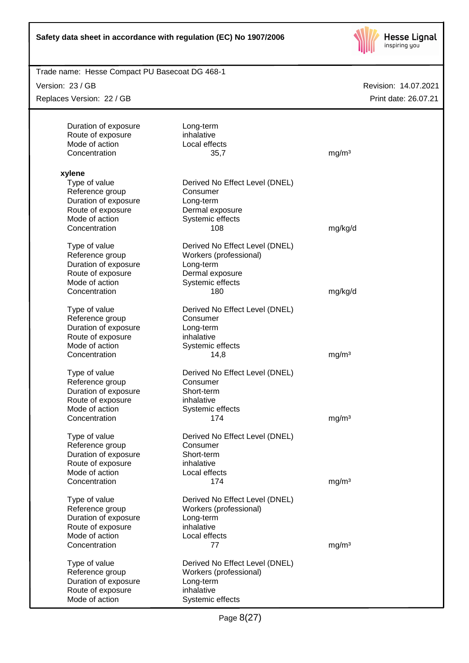

| Trade name: Hesse Compact PU Basecoat DG 468-1 |                                |                      |
|------------------------------------------------|--------------------------------|----------------------|
| Version: 23 / GB                               |                                | Revision: 14.07.2021 |
| Replaces Version: 22 / GB                      |                                | Print date: 26.07.21 |
|                                                |                                |                      |
| Duration of exposure                           | Long-term                      |                      |
| Route of exposure                              | inhalative                     |                      |
| Mode of action                                 | Local effects                  |                      |
| Concentration                                  | 35,7                           | mg/m <sup>3</sup>    |
|                                                |                                |                      |
| xylene                                         |                                |                      |
| Type of value                                  | Derived No Effect Level (DNEL) |                      |
| Reference group                                | Consumer                       |                      |
| Duration of exposure                           | Long-term                      |                      |
| Route of exposure                              | Dermal exposure                |                      |
| Mode of action                                 | Systemic effects               |                      |
| Concentration                                  | 108                            | mg/kg/d              |
|                                                |                                |                      |
| Type of value                                  | Derived No Effect Level (DNEL) |                      |
| Reference group                                | Workers (professional)         |                      |
| Duration of exposure                           | Long-term                      |                      |
| Route of exposure                              | Dermal exposure                |                      |
| Mode of action                                 | Systemic effects               |                      |
| Concentration                                  | 180                            | mg/kg/d              |
|                                                |                                |                      |
| Type of value                                  | Derived No Effect Level (DNEL) |                      |
| Reference group                                | Consumer                       |                      |
| Duration of exposure                           | Long-term                      |                      |
| Route of exposure                              | inhalative                     |                      |
| Mode of action                                 | Systemic effects               |                      |
| Concentration                                  | 14,8                           | mg/m <sup>3</sup>    |
|                                                |                                |                      |
| Type of value                                  | Derived No Effect Level (DNEL) |                      |
| Reference group                                | Consumer                       |                      |
| Duration of exposure                           | Short-term                     |                      |
| Route of exposure                              | inhalative                     |                      |
| Mode of action                                 | Systemic effects               |                      |
| Concentration                                  | 174                            | mg/m <sup>3</sup>    |
|                                                |                                |                      |
| Type of value                                  | Derived No Effect Level (DNEL) |                      |
| Reference group                                | Consumer                       |                      |
| Duration of exposure                           | Short-term                     |                      |
| Route of exposure                              | inhalative                     |                      |
| Mode of action                                 | Local effects                  |                      |
| Concentration                                  | 174                            | mg/m <sup>3</sup>    |
|                                                |                                |                      |
| Type of value                                  | Derived No Effect Level (DNEL) |                      |
| Reference group                                | Workers (professional)         |                      |
| Duration of exposure                           | Long-term                      |                      |
| Route of exposure                              | inhalative                     |                      |
| Mode of action                                 | Local effects                  |                      |
| Concentration                                  | 77                             | mg/m <sup>3</sup>    |
| Type of value                                  | Derived No Effect Level (DNEL) |                      |
|                                                |                                |                      |
| Reference group                                | Workers (professional)         |                      |
| Duration of exposure                           | Long-term                      |                      |
| Route of exposure                              | inhalative                     |                      |
| Mode of action                                 | Systemic effects               |                      |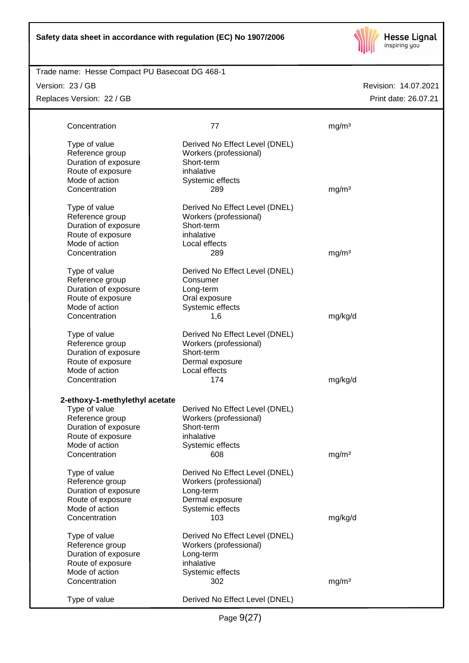

Trade name: Hesse Compact PU Basecoat DG 468-1

Version: 23 / GB

Replaces Version: 22 / GB

| Concentration                                                                 | 77                                                                                   | mg/m <sup>3</sup> |
|-------------------------------------------------------------------------------|--------------------------------------------------------------------------------------|-------------------|
| Type of value<br>Reference group<br>Duration of exposure<br>Route of exposure | Derived No Effect Level (DNEL)<br>Workers (professional)<br>Short-term<br>inhalative |                   |
| Mode of action                                                                | Systemic effects                                                                     |                   |
| Concentration                                                                 | 289                                                                                  | mg/m <sup>3</sup> |
| Type of value                                                                 | Derived No Effect Level (DNEL)                                                       |                   |
| Reference group                                                               | Workers (professional)                                                               |                   |
| Duration of exposure                                                          | Short-term                                                                           |                   |
| Route of exposure<br>Mode of action                                           | inhalative<br>Local effects                                                          |                   |
| Concentration                                                                 | 289                                                                                  | mg/m <sup>3</sup> |
|                                                                               |                                                                                      |                   |
| Type of value<br>Reference group                                              | Derived No Effect Level (DNEL)<br>Consumer                                           |                   |
| Duration of exposure                                                          | Long-term                                                                            |                   |
| Route of exposure                                                             | Oral exposure                                                                        |                   |
| Mode of action                                                                | Systemic effects                                                                     |                   |
| Concentration                                                                 | 1,6                                                                                  | mg/kg/d           |
|                                                                               |                                                                                      |                   |
| Type of value                                                                 | Derived No Effect Level (DNEL)                                                       |                   |
| Reference group                                                               | Workers (professional)                                                               |                   |
| Duration of exposure                                                          | Short-term                                                                           |                   |
| Route of exposure                                                             | Dermal exposure                                                                      |                   |
| Mode of action                                                                | Local effects<br>174                                                                 |                   |
| Concentration                                                                 |                                                                                      | mg/kg/d           |
| 2-ethoxy-1-methylethyl acetate                                                |                                                                                      |                   |
| Type of value                                                                 | Derived No Effect Level (DNEL)                                                       |                   |
| Reference group                                                               | Workers (professional)                                                               |                   |
| Duration of exposure                                                          | Short-term                                                                           |                   |
| Route of exposure                                                             | inhalative                                                                           |                   |
| Mode of action                                                                | Systemic effects                                                                     |                   |
| Concentration                                                                 | 608                                                                                  | mg/m <sup>3</sup> |
| Type of value                                                                 | Derived No Effect Level (DNEL)                                                       |                   |
| Reference group                                                               | Workers (professional)                                                               |                   |
| Duration of exposure                                                          | Long-term                                                                            |                   |
| Route of exposure                                                             | Dermal exposure                                                                      |                   |
| Mode of action                                                                | Systemic effects                                                                     |                   |
| Concentration                                                                 | 103                                                                                  | mg/kg/d           |
|                                                                               |                                                                                      |                   |
| Type of value                                                                 | Derived No Effect Level (DNEL)                                                       |                   |
| Reference group                                                               | Workers (professional)                                                               |                   |
| Duration of exposure                                                          | Long-term<br>inhalative                                                              |                   |
| Route of exposure<br>Mode of action                                           | Systemic effects                                                                     |                   |
| Concentration                                                                 | 302                                                                                  | mg/m <sup>3</sup> |
|                                                                               |                                                                                      |                   |
| Type of value                                                                 | Derived No Effect Level (DNEL)                                                       |                   |
|                                                                               |                                                                                      |                   |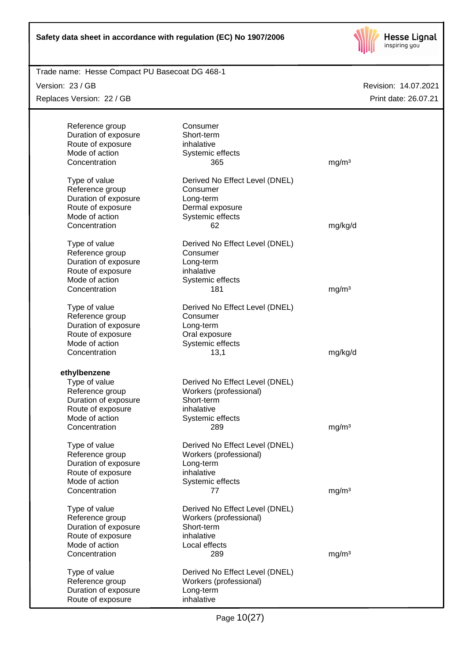

Trade name: Hesse Compact PU Basecoat DG 468-1

Version: 23 / GB

Replaces Version: 22 / GB

| Reference group                           | Consumer                       |                   |
|-------------------------------------------|--------------------------------|-------------------|
| Duration of exposure                      | Short-term                     |                   |
| Route of exposure                         | inhalative                     |                   |
| Mode of action                            | Systemic effects               |                   |
| Concentration                             | 365                            | mg/m <sup>3</sup> |
|                                           |                                |                   |
| Type of value                             | Derived No Effect Level (DNEL) |                   |
| Reference group                           | Consumer                       |                   |
| Duration of exposure                      | Long-term                      |                   |
| Route of exposure                         | Dermal exposure                |                   |
| Mode of action                            | Systemic effects               |                   |
| Concentration                             | 62                             | mg/kg/d           |
|                                           |                                |                   |
| Type of value                             | Derived No Effect Level (DNEL) |                   |
| Reference group                           | Consumer                       |                   |
| Duration of exposure                      | Long-term                      |                   |
| Route of exposure                         | inhalative                     |                   |
| Mode of action                            | Systemic effects               |                   |
| Concentration                             | 181                            | mg/m <sup>3</sup> |
|                                           |                                |                   |
| Type of value                             | Derived No Effect Level (DNEL) |                   |
| Reference group                           | Consumer                       |                   |
| Duration of exposure                      | Long-term                      |                   |
| Route of exposure                         | Oral exposure                  |                   |
| Mode of action                            | Systemic effects               |                   |
| Concentration                             | 13,1                           | mg/kg/d           |
|                                           |                                |                   |
| ethylbenzene                              |                                |                   |
| Type of value                             | Derived No Effect Level (DNEL) |                   |
| Reference group                           | Workers (professional)         |                   |
| Duration of exposure                      | Short-term                     |                   |
| Route of exposure<br>Mode of action       | inhalative                     |                   |
| Concentration                             | Systemic effects<br>289        |                   |
|                                           |                                | mg/m <sup>3</sup> |
| Type of value                             | Derived No Effect Level (DNEL) |                   |
| Reference group                           | Workers (professional)         |                   |
| Duration of exposure                      | Long-term                      |                   |
| Route of exposure                         | inhalative                     |                   |
| Mode of action                            | Systemic effects               |                   |
| Concentration                             | 77                             | mg/m <sup>3</sup> |
|                                           |                                |                   |
| Type of value                             | Derived No Effect Level (DNEL) |                   |
| Reference group                           | Workers (professional)         |                   |
| Duration of exposure                      | Short-term                     |                   |
| Route of exposure                         | inhalative                     |                   |
| Mode of action                            | Local effects                  |                   |
| Concentration                             | 289                            | mg/m <sup>3</sup> |
|                                           |                                |                   |
| Type of value                             | Derived No Effect Level (DNEL) |                   |
| Reference group                           | Workers (professional)         |                   |
| Duration of exposure<br>Route of exposure | Long-term<br>inhalative        |                   |
|                                           |                                |                   |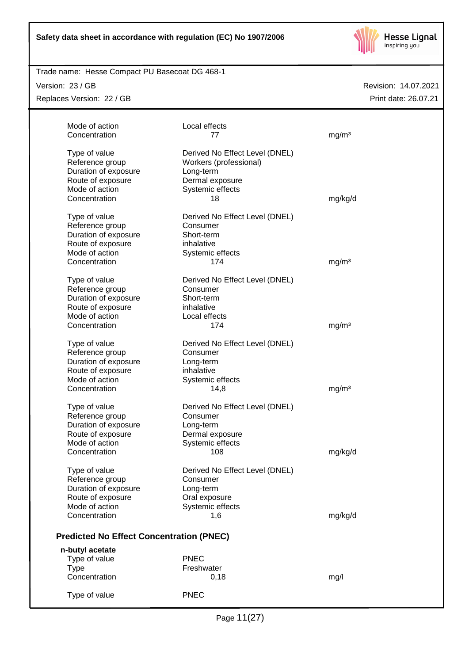

Trade name: Hesse Compact PU Basecoat DG 468-1

Version: 23 / GB

Replaces Version: 22 / GB

| Mode of action<br>Concentration                                                                 | Local effects<br>77                                                                                          | mg/m <sup>3</sup> |
|-------------------------------------------------------------------------------------------------|--------------------------------------------------------------------------------------------------------------|-------------------|
| Type of value<br>Reference group<br>Duration of exposure<br>Route of exposure<br>Mode of action | Derived No Effect Level (DNEL)<br>Workers (professional)<br>Long-term<br>Dermal exposure<br>Systemic effects |                   |
| Concentration                                                                                   | 18                                                                                                           | mg/kg/d           |
| Type of value<br>Reference group<br>Duration of exposure<br>Route of exposure<br>Mode of action | Derived No Effect Level (DNEL)<br>Consumer<br>Short-term<br>inhalative<br>Systemic effects                   |                   |
| Concentration                                                                                   | 174                                                                                                          | mg/m <sup>3</sup> |
| Type of value<br>Reference group<br>Duration of exposure<br>Route of exposure<br>Mode of action | Derived No Effect Level (DNEL)<br>Consumer<br>Short-term<br>inhalative<br>Local effects                      |                   |
| Concentration                                                                                   | 174                                                                                                          | mg/m <sup>3</sup> |
| Type of value<br>Reference group<br>Duration of exposure<br>Route of exposure<br>Mode of action | Derived No Effect Level (DNEL)<br>Consumer<br>Long-term<br>inhalative<br>Systemic effects                    |                   |
| Concentration                                                                                   | 14,8                                                                                                         | mg/m <sup>3</sup> |
| Type of value<br>Reference group<br>Duration of exposure<br>Route of exposure<br>Mode of action | Derived No Effect Level (DNEL)<br>Consumer<br>Long-term<br>Dermal exposure<br>Systemic effects               |                   |
| Concentration                                                                                   | 108                                                                                                          | mg/kg/d           |
| Type of value<br>Reference group<br>Duration of exposure<br>Route of exposure<br>Mode of action | Derived No Effect Level (DNEL)<br>Consumer<br>Long-term<br>Oral exposure<br>Systemic effects                 |                   |
| Concentration                                                                                   | 1,6                                                                                                          | mg/kg/d           |
| <b>Predicted No Effect Concentration (PNEC)</b>                                                 |                                                                                                              |                   |
| n-butyl acetate                                                                                 |                                                                                                              |                   |
| Type of value<br><b>Type</b>                                                                    | <b>PNEC</b><br>Freshwater                                                                                    |                   |
| Concentration                                                                                   | 0,18                                                                                                         | mg/l              |
| Type of value                                                                                   | <b>PNEC</b>                                                                                                  |                   |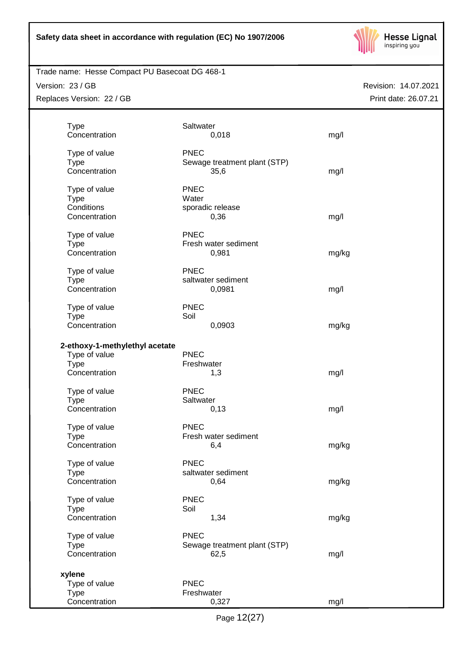

Version: 23 / GB Replaces Version: 22 / GB Revision: 14.07.2021 Print date: 26.07.21

| <b>Type</b>                    | Saltwater   |                              |       |
|--------------------------------|-------------|------------------------------|-------|
| Concentration                  |             | 0,018                        | mg/l  |
|                                |             |                              |       |
| Type of value                  | <b>PNEC</b> |                              |       |
| <b>Type</b>                    |             | Sewage treatment plant (STP) |       |
| Concentration                  |             | 35,6                         | mg/l  |
|                                |             |                              |       |
| Type of value                  | <b>PNEC</b> |                              |       |
| <b>Type</b>                    | Water       |                              |       |
| Conditions                     |             |                              |       |
| Concentration                  |             | sporadic release             |       |
|                                |             | 0,36                         | mg/l  |
|                                | <b>PNEC</b> |                              |       |
| Type of value                  |             |                              |       |
| <b>Type</b>                    |             | Fresh water sediment         |       |
| Concentration                  |             | 0,981                        | mg/kg |
|                                |             |                              |       |
| Type of value                  | <b>PNEC</b> |                              |       |
| <b>Type</b>                    |             | saltwater sediment           |       |
| Concentration                  |             | 0,0981                       | mg/l  |
|                                |             |                              |       |
| Type of value                  | <b>PNEC</b> |                              |       |
| <b>Type</b>                    | Soil        |                              |       |
| Concentration                  |             | 0,0903                       | mg/kg |
|                                |             |                              |       |
| 2-ethoxy-1-methylethyl acetate |             |                              |       |
| Type of value                  | <b>PNEC</b> |                              |       |
| <b>Type</b>                    | Freshwater  |                              |       |
| Concentration                  |             | 1,3                          | mg/l  |
|                                |             |                              |       |
| Type of value                  | <b>PNEC</b> |                              |       |
| <b>Type</b>                    | Saltwater   |                              |       |
| Concentration                  |             | 0,13                         | mg/l  |
|                                |             |                              |       |
| Type of value                  | <b>PNEC</b> |                              |       |
| <b>Type</b>                    |             | Fresh water sediment         |       |
| Concentration                  |             | 6,4                          | mg/kg |
|                                |             |                              |       |
| Type of value                  | <b>PNEC</b> |                              |       |
| <b>Type</b>                    |             | saltwater sediment           |       |
| Concentration                  |             | 0,64                         | mg/kg |
|                                |             |                              |       |
| Type of value                  | <b>PNEC</b> |                              |       |
| <b>Type</b>                    | Soil        |                              |       |
| Concentration                  |             | 1,34                         | mg/kg |
|                                |             |                              |       |
| Type of value                  | <b>PNEC</b> |                              |       |
| <b>Type</b>                    |             | Sewage treatment plant (STP) |       |
| Concentration                  |             | 62,5                         | mg/l  |
|                                |             |                              |       |
|                                |             |                              |       |
| xylene                         |             |                              |       |
| Type of value                  | <b>PNEC</b> |                              |       |
| <b>Type</b>                    | Freshwater  |                              |       |
| Concentration                  |             | 0,327                        | mg/l  |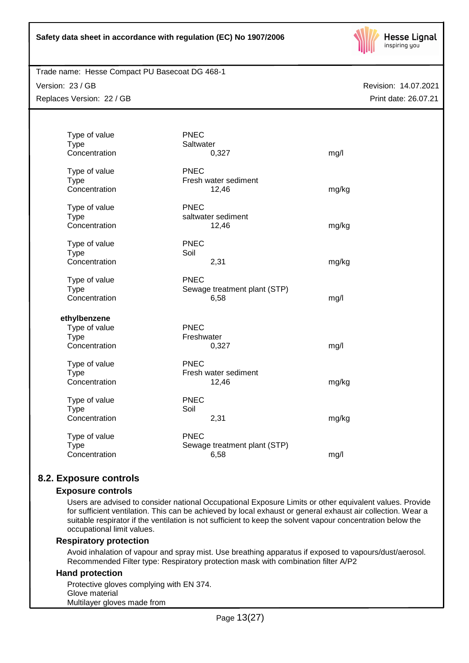

Trade name: Hesse Compact PU Basecoat DG 468-1

Version: 23 / GB Replaces Version: 22 / GB

Revision: 14.07.2021 Print date: 26.07.21

| Type of value<br><b>Type</b><br>Concentration                 | <b>PNEC</b><br>Saltwater  | 0,327                                | mg/l  |
|---------------------------------------------------------------|---------------------------|--------------------------------------|-------|
| Type of value<br><b>Type</b><br>Concentration                 | <b>PNEC</b>               | Fresh water sediment<br>12,46        | mg/kg |
| Type of value<br><b>Type</b><br>Concentration                 | <b>PNEC</b>               | saltwater sediment<br>12,46          | mg/kg |
| Type of value<br><b>Type</b><br>Concentration                 | <b>PNEC</b><br>Soil       | 2,31                                 | mg/kg |
| Type of value<br><b>Type</b><br>Concentration                 | <b>PNEC</b>               | Sewage treatment plant (STP)<br>6,58 | mg/l  |
| ethylbenzene<br>Type of value<br><b>Type</b><br>Concentration | <b>PNEC</b><br>Freshwater | 0,327                                | mg/l  |
| Type of value<br><b>Type</b><br>Concentration                 | <b>PNEC</b>               | Fresh water sediment<br>12,46        | mg/kg |
| Type of value<br><b>Type</b><br>Concentration                 | <b>PNEC</b><br>Soil       | 2,31                                 | mg/kg |
| Type of value<br><b>Type</b><br>Concentration                 | <b>PNEC</b>               | Sewage treatment plant (STP)<br>6,58 | mg/l  |
|                                                               |                           |                                      |       |

# **8.2. Exposure controls**

#### **Exposure controls**

Users are advised to consider national Occupational Exposure Limits or other equivalent values. Provide for sufficient ventilation. This can be achieved by local exhaust or general exhaust air collection. Wear a suitable respirator if the ventilation is not sufficient to keep the solvent vapour concentration below the occupational limit values.

## **Respiratory protection**

Avoid inhalation of vapour and spray mist. Use breathing apparatus if exposed to vapours/dust/aerosol. Recommended Filter type: Respiratory protection mask with combination filter A/P2

#### **Hand protection**

Protective gloves complying with EN 374. Glove material Multilayer gloves made from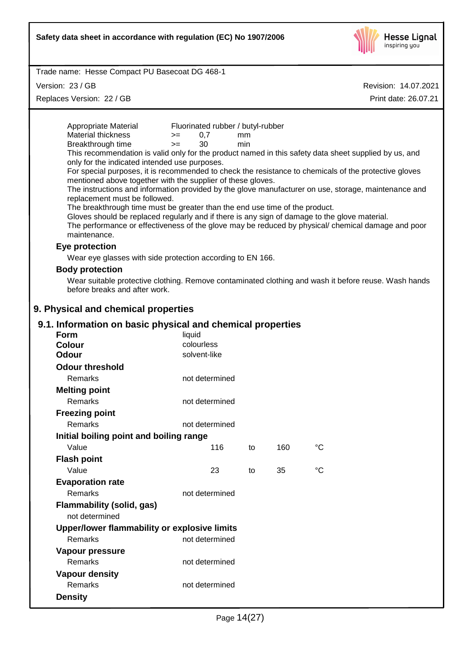

Version: 23 / GB

Replaces Version: 22 / GB

| Appropriate Material<br><b>Material thickness</b>                                             | Fluorinated rubber / butyl-rubber<br>0,7<br>$>=$ |           |     |                                                                                                       |  |
|-----------------------------------------------------------------------------------------------|--------------------------------------------------|-----------|-----|-------------------------------------------------------------------------------------------------------|--|
| Breakthrough time                                                                             | 30<br>$>=$                                       | mm<br>min |     |                                                                                                       |  |
|                                                                                               |                                                  |           |     | This recommendation is valid only for the product named in this safety data sheet supplied by us, and |  |
| only for the indicated intended use purposes.                                                 |                                                  |           |     |                                                                                                       |  |
|                                                                                               |                                                  |           |     | For special purposes, it is recommended to check the resistance to chemicals of the protective gloves |  |
| mentioned above together with the supplier of these gloves.                                   |                                                  |           |     | The instructions and information provided by the glove manufacturer on use, storage, maintenance and  |  |
| replacement must be followed.                                                                 |                                                  |           |     |                                                                                                       |  |
| The breakthrough time must be greater than the end use time of the product.                   |                                                  |           |     |                                                                                                       |  |
| Gloves should be replaced regularly and if there is any sign of damage to the glove material. |                                                  |           |     |                                                                                                       |  |
| maintenance.                                                                                  |                                                  |           |     | The performance or effectiveness of the glove may be reduced by physical/ chemical damage and poor    |  |
|                                                                                               |                                                  |           |     |                                                                                                       |  |
| Eye protection                                                                                |                                                  |           |     |                                                                                                       |  |
| Wear eye glasses with side protection according to EN 166.                                    |                                                  |           |     |                                                                                                       |  |
| <b>Body protection</b>                                                                        |                                                  |           |     |                                                                                                       |  |
| before breaks and after work.                                                                 |                                                  |           |     | Wear suitable protective clothing. Remove contaminated clothing and wash it before reuse. Wash hands  |  |
|                                                                                               |                                                  |           |     |                                                                                                       |  |
| 9. Physical and chemical properties                                                           |                                                  |           |     |                                                                                                       |  |
| 9.1. Information on basic physical and chemical properties                                    |                                                  |           |     |                                                                                                       |  |
| <b>Form</b>                                                                                   | liquid                                           |           |     |                                                                                                       |  |
| <b>Colour</b>                                                                                 | colourless                                       |           |     |                                                                                                       |  |
| <b>Odour</b>                                                                                  | solvent-like                                     |           |     |                                                                                                       |  |
| <b>Odour threshold</b>                                                                        |                                                  |           |     |                                                                                                       |  |
| Remarks                                                                                       | not determined                                   |           |     |                                                                                                       |  |
| <b>Melting point</b>                                                                          |                                                  |           |     |                                                                                                       |  |
| Remarks                                                                                       | not determined                                   |           |     |                                                                                                       |  |
| <b>Freezing point</b>                                                                         |                                                  |           |     |                                                                                                       |  |
| Remarks                                                                                       | not determined                                   |           |     |                                                                                                       |  |
| Initial boiling point and boiling range                                                       |                                                  |           |     |                                                                                                       |  |
| Value                                                                                         | 116                                              | to        | 160 | °C                                                                                                    |  |
| <b>Flash point</b>                                                                            |                                                  |           |     |                                                                                                       |  |
| Value                                                                                         | 23                                               | to        | 35  | $\rm ^{\circ}C$                                                                                       |  |
| <b>Evaporation rate</b>                                                                       |                                                  |           |     |                                                                                                       |  |
| <b>Remarks</b>                                                                                | not determined                                   |           |     |                                                                                                       |  |
| <b>Flammability (solid, gas)</b>                                                              |                                                  |           |     |                                                                                                       |  |
| not determined                                                                                |                                                  |           |     |                                                                                                       |  |
| Upper/lower flammability or explosive limits                                                  |                                                  |           |     |                                                                                                       |  |
| Remarks                                                                                       | not determined                                   |           |     |                                                                                                       |  |
| Vapour pressure                                                                               |                                                  |           |     |                                                                                                       |  |
| Remarks                                                                                       | not determined                                   |           |     |                                                                                                       |  |
| <b>Vapour density</b>                                                                         |                                                  |           |     |                                                                                                       |  |
| Remarks                                                                                       | not determined                                   |           |     |                                                                                                       |  |
| <b>Density</b>                                                                                |                                                  |           |     |                                                                                                       |  |
|                                                                                               |                                                  |           |     |                                                                                                       |  |
|                                                                                               |                                                  |           |     |                                                                                                       |  |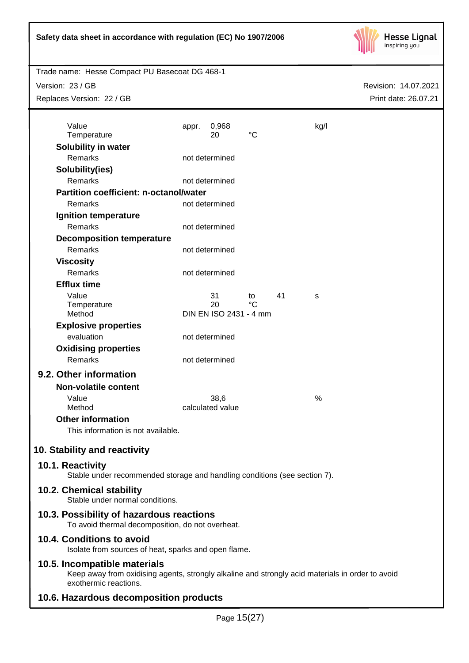

Version: 23 / GB

Replaces Version: 22 / GB

Revision: 14.07.2021 Print date: 26.07.21

| Value<br>Temperature                                                                                                                                      | appr. | 0,968<br>20            | $\rm ^{\circ}C$   |    | kg/l |
|-----------------------------------------------------------------------------------------------------------------------------------------------------------|-------|------------------------|-------------------|----|------|
| Solubility in water                                                                                                                                       |       |                        |                   |    |      |
| Remarks                                                                                                                                                   |       | not determined         |                   |    |      |
| Solubility(ies)                                                                                                                                           |       |                        |                   |    |      |
| Remarks                                                                                                                                                   |       | not determined         |                   |    |      |
| <b>Partition coefficient: n-octanol/water</b>                                                                                                             |       |                        |                   |    |      |
| Remarks                                                                                                                                                   |       | not determined         |                   |    |      |
|                                                                                                                                                           |       |                        |                   |    |      |
| Ignition temperature<br>Remarks                                                                                                                           |       | not determined         |                   |    |      |
|                                                                                                                                                           |       |                        |                   |    |      |
| <b>Decomposition temperature</b><br>Remarks                                                                                                               |       | not determined         |                   |    |      |
|                                                                                                                                                           |       |                        |                   |    |      |
| <b>Viscosity</b><br>Remarks                                                                                                                               |       |                        |                   |    |      |
|                                                                                                                                                           |       | not determined         |                   |    |      |
| <b>Efflux time</b>                                                                                                                                        |       |                        |                   |    |      |
| Value<br>Temperature                                                                                                                                      |       | 31<br>20               | to<br>$^{\circ}C$ | 41 | s    |
| Method                                                                                                                                                    |       | DIN EN ISO 2431 - 4 mm |                   |    |      |
| <b>Explosive properties</b>                                                                                                                               |       |                        |                   |    |      |
| evaluation                                                                                                                                                |       | not determined         |                   |    |      |
| <b>Oxidising properties</b>                                                                                                                               |       |                        |                   |    |      |
| Remarks                                                                                                                                                   |       | not determined         |                   |    |      |
| 9.2. Other information                                                                                                                                    |       |                        |                   |    |      |
| <b>Non-volatile content</b>                                                                                                                               |       |                        |                   |    |      |
| Value                                                                                                                                                     |       | 38,6                   |                   |    | $\%$ |
| Method                                                                                                                                                    |       | calculated value       |                   |    |      |
| <b>Other information</b>                                                                                                                                  |       |                        |                   |    |      |
| This information is not available.                                                                                                                        |       |                        |                   |    |      |
|                                                                                                                                                           |       |                        |                   |    |      |
| 10. Stability and reactivity                                                                                                                              |       |                        |                   |    |      |
| 10.1. Reactivity<br>Stable under recommended storage and handling conditions (see section 7).                                                             |       |                        |                   |    |      |
| 10.2. Chemical stability<br>Stable under normal conditions.                                                                                               |       |                        |                   |    |      |
| 10.3. Possibility of hazardous reactions<br>To avoid thermal decomposition, do not overheat.                                                              |       |                        |                   |    |      |
| 10.4. Conditions to avoid<br>Isolate from sources of heat, sparks and open flame.                                                                         |       |                        |                   |    |      |
| 10.5. Incompatible materials<br>Keep away from oxidising agents, strongly alkaline and strongly acid materials in order to avoid<br>exothermic reactions. |       |                        |                   |    |      |
| sandarra alan ammanistan munalizata                                                                                                                       |       |                        |                   |    |      |

# **10.6. Hazardous decomposition products**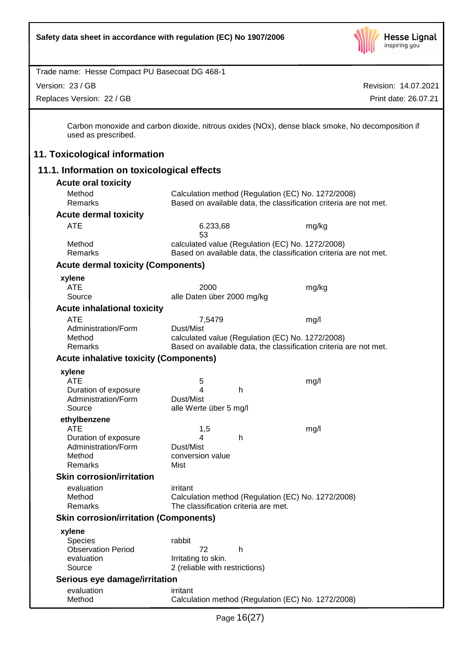

Version: 23 / GB

Replaces Version: 22 / GB

Revision: 14.07.2021 Print date: 26.07.21

Carbon monoxide and carbon dioxide, nitrous oxides (NOx), dense black smoke, No decomposition if used as prescribed.

# **11. Toxicological information**

# **11.1. Information on toxicological effects**

| <b>Acute oral toxicity</b>                    |                                                                   |       |
|-----------------------------------------------|-------------------------------------------------------------------|-------|
| Method                                        | Calculation method (Regulation (EC) No. 1272/2008)                |       |
| Remarks                                       | Based on available data, the classification criteria are not met. |       |
| <b>Acute dermal toxicity</b>                  |                                                                   |       |
| <b>ATE</b>                                    | 6.233,68<br>53                                                    | mg/kg |
| Method                                        | calculated value (Regulation (EC) No. 1272/2008)                  |       |
| Remarks                                       | Based on available data, the classification criteria are not met. |       |
| <b>Acute dermal toxicity (Components)</b>     |                                                                   |       |
| xylene                                        |                                                                   |       |
| <b>ATE</b>                                    | 2000                                                              | mg/kg |
| Source                                        | alle Daten über 2000 mg/kg                                        |       |
| <b>Acute inhalational toxicity</b>            |                                                                   |       |
| <b>ATE</b>                                    | 7,5479                                                            | mg/l  |
| Administration/Form                           | Dust/Mist                                                         |       |
| Method                                        | calculated value (Regulation (EC) No. 1272/2008)                  |       |
| Remarks                                       | Based on available data, the classification criteria are not met. |       |
| <b>Acute inhalative toxicity (Components)</b> |                                                                   |       |
| xylene                                        |                                                                   |       |
| <b>ATE</b>                                    | 5                                                                 | mg/l  |
| Duration of exposure                          | 4<br>h                                                            |       |
| Administration/Form<br>Source                 | Dust/Mist<br>alle Werte über 5 mg/l                               |       |
|                                               |                                                                   |       |
| ethylbenzene<br><b>ATE</b>                    | 1,5                                                               | mg/l  |
| Duration of exposure                          | h<br>4                                                            |       |
| Administration/Form                           | Dust/Mist                                                         |       |
| Method                                        | conversion value                                                  |       |
| Remarks                                       | Mist                                                              |       |
| <b>Skin corrosion/irritation</b>              |                                                                   |       |
| evaluation                                    | irritant                                                          |       |
| Method                                        | Calculation method (Regulation (EC) No. 1272/2008)                |       |
| Remarks                                       | The classification criteria are met.                              |       |
| <b>Skin corrosion/irritation (Components)</b> |                                                                   |       |
| xylene                                        |                                                                   |       |
| <b>Species</b>                                | rabbit                                                            |       |
| <b>Observation Period</b>                     | 72<br>h                                                           |       |
| evaluation                                    | Irritating to skin.                                               |       |
| Source                                        | 2 (reliable with restrictions)                                    |       |
| Serious eye damage/irritation                 |                                                                   |       |
| evaluation<br>Method                          | irritant                                                          |       |
|                                               | Calculation method (Regulation (EC) No. 1272/2008)                |       |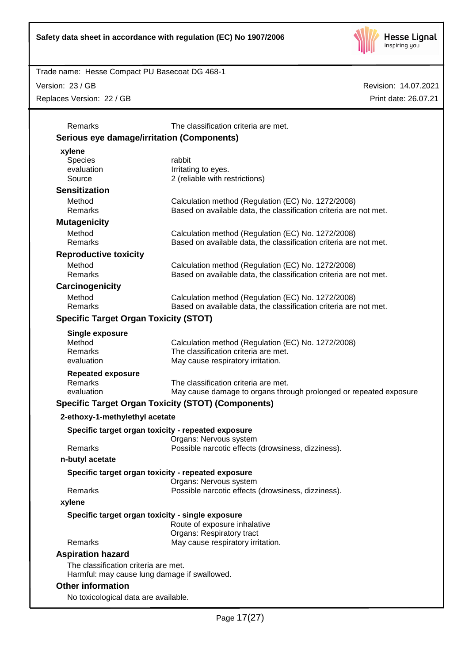

Version: 23 / GB

Replaces Version: 22 / GB

| Remarks                                           | The classification criteria are met.                              |
|---------------------------------------------------|-------------------------------------------------------------------|
| <b>Serious eye damage/irritation (Components)</b> |                                                                   |
| xylene                                            |                                                                   |
| Species                                           | rabbit                                                            |
| evaluation                                        | Irritating to eyes.                                               |
| Source                                            | 2 (reliable with restrictions)                                    |
| <b>Sensitization</b>                              |                                                                   |
| Method                                            | Calculation method (Regulation (EC) No. 1272/2008)                |
| <b>Remarks</b>                                    | Based on available data, the classification criteria are not met. |
| <b>Mutagenicity</b>                               |                                                                   |
| Method                                            | Calculation method (Regulation (EC) No. 1272/2008)                |
| <b>Remarks</b>                                    | Based on available data, the classification criteria are not met. |
| <b>Reproductive toxicity</b>                      |                                                                   |
| Method                                            | Calculation method (Regulation (EC) No. 1272/2008)                |
| Remarks                                           | Based on available data, the classification criteria are not met. |
| Carcinogenicity                                   |                                                                   |
| Method                                            | Calculation method (Regulation (EC) No. 1272/2008)                |
| <b>Remarks</b>                                    | Based on available data, the classification criteria are not met. |
| <b>Specific Target Organ Toxicity (STOT)</b>      |                                                                   |
| <b>Single exposure</b>                            |                                                                   |
| Method                                            | Calculation method (Regulation (EC) No. 1272/2008)                |
| Remarks                                           | The classification criteria are met.                              |
| evaluation                                        | May cause respiratory irritation.                                 |
| <b>Repeated exposure</b>                          |                                                                   |
| Remarks                                           | The classification criteria are met.                              |
| evaluation                                        | May cause damage to organs through prolonged or repeated exposure |
|                                                   | <b>Specific Target Organ Toxicity (STOT) (Components)</b>         |
| 2-ethoxy-1-methylethyl acetate                    |                                                                   |
|                                                   | Specific target organ toxicity - repeated exposure                |
|                                                   | Organs: Nervous system                                            |
| Remarks                                           | Possible narcotic effects (drowsiness, dizziness).                |
| n-butyl acetate                                   |                                                                   |
|                                                   | Specific target organ toxicity - repeated exposure                |
|                                                   | Organs: Nervous system                                            |
| Remarks                                           | Possible narcotic effects (drowsiness, dizziness).                |
| xylene                                            |                                                                   |
|                                                   | Specific target organ toxicity - single exposure                  |
|                                                   | Route of exposure inhalative                                      |
|                                                   | Organs: Respiratory tract                                         |
| Remarks                                           | May cause respiratory irritation.                                 |
| <b>Aspiration hazard</b>                          |                                                                   |
| The classification criteria are met.              |                                                                   |
| Harmful: may cause lung damage if swallowed.      |                                                                   |
| <b>Other information</b>                          |                                                                   |
| No toxicological data are available.              |                                                                   |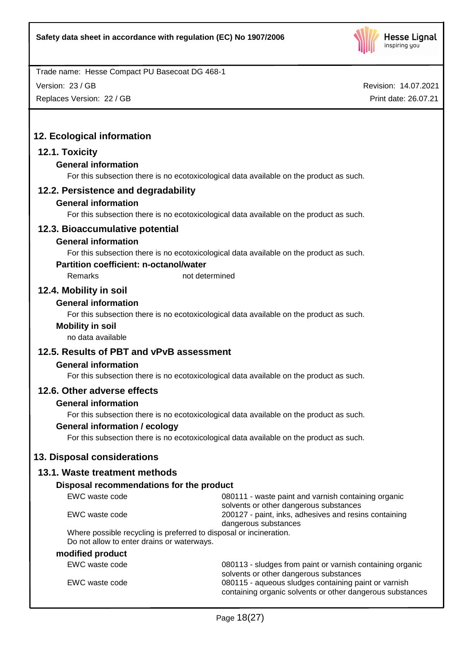

Version: 23 / GB

Replaces Version: 22 / GB

Revision: 14.07.2021 Print date: 26.07.21

# **12. Ecological information**

## **12.1. Toxicity**

## **General information**

For this subsection there is no ecotoxicological data available on the product as such.

## **12.2. Persistence and degradability**

## **General information**

For this subsection there is no ecotoxicological data available on the product as such.

# **12.3. Bioaccumulative potential**

## **General information**

For this subsection there is no ecotoxicological data available on the product as such.

## **Partition coefficient: n-octanol/water**

Remarks not determined

# **12.4. Mobility in soil**

# **General information**

For this subsection there is no ecotoxicological data available on the product as such.

## **Mobility in soil**

no data available

# **12.5. Results of PBT and vPvB assessment**

## **General information**

For this subsection there is no ecotoxicological data available on the product as such.

## **12.6. Other adverse effects**

## **General information**

For this subsection there is no ecotoxicological data available on the product as such.

## **General information / ecology**

For this subsection there is no ecotoxicological data available on the product as such.

# **13. Disposal considerations**

# **13.1. Waste treatment methods**

## **Disposal recommendations for the product**

| EWC waste code                                                     | 080111 - waste paint and varnish containing organic       |
|--------------------------------------------------------------------|-----------------------------------------------------------|
|                                                                    | solvents or other dangerous substances                    |
| EWC waste code                                                     | 200127 - paint, inks, adhesives and resins containing     |
|                                                                    | dangerous substances                                      |
| Where possible recycling is preferred to disposal or incineration. |                                                           |
| Do not allow to enter drains or waterways.                         |                                                           |
| modified product                                                   |                                                           |
| EWC waste code                                                     | 080113 - sludges from paint or varnish containing organic |
|                                                                    | solvents or other dangerous substances                    |
| EWC waste code                                                     | 080115 - aqueous sludges containing paint or varnish      |

containing organic solvents or other dangerous substances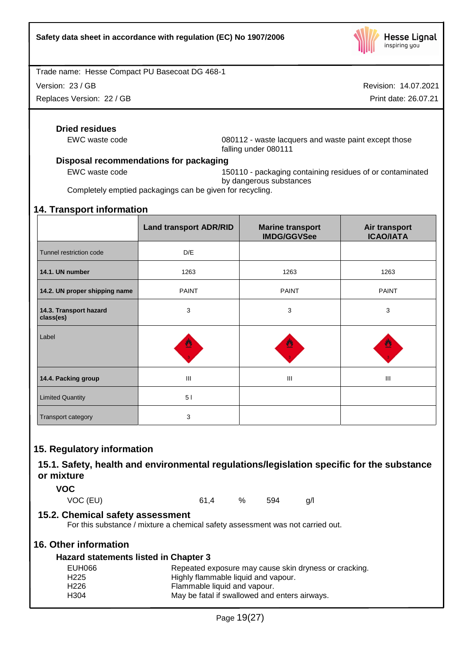

Version: 23 / GB

Replaces Version: 22 / GB

Revision: 14.07.2021

Print date: 26.07.21

## **Dried residues**

EWC waste code 080112 - waste lacquers and waste paint except those falling under 080111

## **Disposal recommendations for packaging**

EWC waste code 150110 - packaging containing residues of or contaminated by dangerous substances

Completely emptied packagings can be given for recycling.

## **14. Transport information**

|                                     | <b>Land transport ADR/RID</b> | <b>Marine transport</b><br><b>IMDG/GGVSee</b> | Air transport<br><b>ICAO/IATA</b> |
|-------------------------------------|-------------------------------|-----------------------------------------------|-----------------------------------|
| Tunnel restriction code             | D/E                           |                                               |                                   |
| 14.1. UN number                     | 1263                          | 1263                                          | 1263                              |
| 14.2. UN proper shipping name       | <b>PAINT</b>                  | <b>PAINT</b>                                  | <b>PAINT</b>                      |
| 14.3. Transport hazard<br>class(es) | 3                             | 3                                             | 3                                 |
| Label                               | 豐                             |                                               | 塑                                 |
| 14.4. Packing group                 | Ш                             | III                                           | III                               |
| <b>Limited Quantity</b>             | 51                            |                                               |                                   |
| <b>Transport category</b>           | 3                             |                                               |                                   |

# **15. Regulatory information**

# **15.1. Safety, health and environmental regulations/legislation specific for the substance or mixture**

**VOC**

VOC (EU) 61,4 % 594 g/l

# **15.2. Chemical safety assessment**

For this substance / mixture a chemical safety assessment was not carried out.

# **16. Other information**

## **Hazard statements listed in Chapter 3**

| EUH066           | Repeated exposure may cause skin dryness or cracking. |
|------------------|-------------------------------------------------------|
| H <sub>225</sub> | Highly flammable liquid and vapour.                   |
| H <sub>226</sub> | Flammable liquid and vapour.                          |
| H <sub>304</sub> | May be fatal if swallowed and enters airways.         |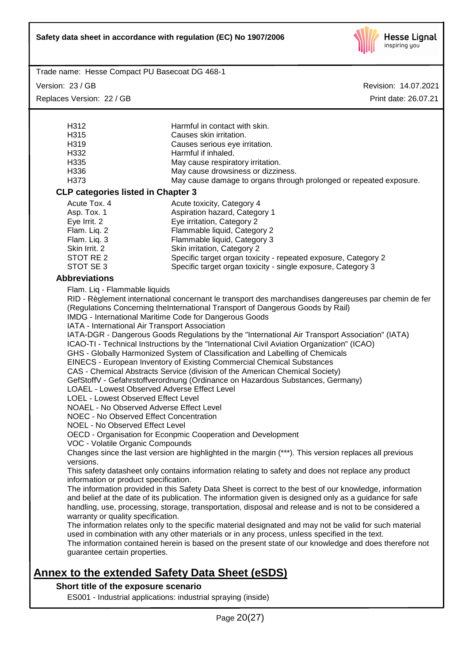

Trade name: Hesse Compact PU Basecoat DG 468-1

Version: 23 / GB Replaces Version: 22 / GB Revision: 14.07.2021 Print date: 26.07.21

| H312                                                                                                                                                                                              | Harmful in contact with skin.                                                                                                                                                                                                                                                                                                                                                                                                                                                                                                                                                                                                                                                                                                                                                                                                                                                                                                                   |
|---------------------------------------------------------------------------------------------------------------------------------------------------------------------------------------------------|-------------------------------------------------------------------------------------------------------------------------------------------------------------------------------------------------------------------------------------------------------------------------------------------------------------------------------------------------------------------------------------------------------------------------------------------------------------------------------------------------------------------------------------------------------------------------------------------------------------------------------------------------------------------------------------------------------------------------------------------------------------------------------------------------------------------------------------------------------------------------------------------------------------------------------------------------|
| H315                                                                                                                                                                                              | Causes skin irritation.                                                                                                                                                                                                                                                                                                                                                                                                                                                                                                                                                                                                                                                                                                                                                                                                                                                                                                                         |
| H319                                                                                                                                                                                              | Causes serious eye irritation.                                                                                                                                                                                                                                                                                                                                                                                                                                                                                                                                                                                                                                                                                                                                                                                                                                                                                                                  |
| H332                                                                                                                                                                                              | Harmful if inhaled.                                                                                                                                                                                                                                                                                                                                                                                                                                                                                                                                                                                                                                                                                                                                                                                                                                                                                                                             |
| H335                                                                                                                                                                                              | May cause respiratory irritation.                                                                                                                                                                                                                                                                                                                                                                                                                                                                                                                                                                                                                                                                                                                                                                                                                                                                                                               |
| H336                                                                                                                                                                                              | May cause drowsiness or dizziness.                                                                                                                                                                                                                                                                                                                                                                                                                                                                                                                                                                                                                                                                                                                                                                                                                                                                                                              |
| H373                                                                                                                                                                                              | May cause damage to organs through prolonged or repeated exposure.                                                                                                                                                                                                                                                                                                                                                                                                                                                                                                                                                                                                                                                                                                                                                                                                                                                                              |
| <b>CLP categories listed in Chapter 3</b>                                                                                                                                                         |                                                                                                                                                                                                                                                                                                                                                                                                                                                                                                                                                                                                                                                                                                                                                                                                                                                                                                                                                 |
| Acute Tox. 4                                                                                                                                                                                      | Acute toxicity, Category 4                                                                                                                                                                                                                                                                                                                                                                                                                                                                                                                                                                                                                                                                                                                                                                                                                                                                                                                      |
| Asp. Tox. 1                                                                                                                                                                                       | Aspiration hazard, Category 1                                                                                                                                                                                                                                                                                                                                                                                                                                                                                                                                                                                                                                                                                                                                                                                                                                                                                                                   |
| Eye Irrit. 2                                                                                                                                                                                      | Eye irritation, Category 2                                                                                                                                                                                                                                                                                                                                                                                                                                                                                                                                                                                                                                                                                                                                                                                                                                                                                                                      |
| Flam. Liq. 2                                                                                                                                                                                      | Flammable liquid, Category 2                                                                                                                                                                                                                                                                                                                                                                                                                                                                                                                                                                                                                                                                                                                                                                                                                                                                                                                    |
| Flam. Liq. 3                                                                                                                                                                                      | Flammable liquid, Category 3                                                                                                                                                                                                                                                                                                                                                                                                                                                                                                                                                                                                                                                                                                                                                                                                                                                                                                                    |
| Skin Irrit. 2                                                                                                                                                                                     | Skin irritation, Category 2                                                                                                                                                                                                                                                                                                                                                                                                                                                                                                                                                                                                                                                                                                                                                                                                                                                                                                                     |
| STOT RE 2                                                                                                                                                                                         | Specific target organ toxicity - repeated exposure, Category 2                                                                                                                                                                                                                                                                                                                                                                                                                                                                                                                                                                                                                                                                                                                                                                                                                                                                                  |
| STOT SE 3                                                                                                                                                                                         | Specific target organ toxicity - single exposure, Category 3                                                                                                                                                                                                                                                                                                                                                                                                                                                                                                                                                                                                                                                                                                                                                                                                                                                                                    |
| <b>Abbreviations</b>                                                                                                                                                                              |                                                                                                                                                                                                                                                                                                                                                                                                                                                                                                                                                                                                                                                                                                                                                                                                                                                                                                                                                 |
| LOEL - Lowest Observed Effect Level<br>NOAEL - No Observed Adverse Effect Level<br>NOEC - No Observed Effect Concentration<br>NOEL - No Observed Effect Level<br>VOC - Volatile Organic Compounds | RID - Règlement international concernant le transport des marchandises dangereuses par chemin de fer<br>(Regulations Concerning theInternational Transport of Dangerous Goods by Rail)<br>IMDG - International Maritime Code for Dangerous Goods<br>IATA - International Air Transport Association<br>IATA-DGR - Dangerous Goods Regulations by the "International Air Transport Association" (IATA)<br>ICAO-TI - Technical Instructions by the "International Civil Aviation Organization" (ICAO)<br>GHS - Globally Harmonized System of Classification and Labelling of Chemicals<br>EINECS - European Inventory of Existing Commercial Chemical Substances<br>CAS - Chemical Abstracts Service (division of the American Chemical Society)<br>GefStoffV - Gefahrstoffverordnung (Ordinance on Hazardous Substances, Germany)<br>LOAEL - Lowest Observed Adverse Effect Level<br>OECD - Organisation for Econpmic Cooperation and Development |
| versions.                                                                                                                                                                                         | Changes since the last version are highlighted in the margin (***). This version replaces all previous<br>This safety datasheet only contains information relating to safety and does not replace any product                                                                                                                                                                                                                                                                                                                                                                                                                                                                                                                                                                                                                                                                                                                                   |
| information or product specification.                                                                                                                                                             |                                                                                                                                                                                                                                                                                                                                                                                                                                                                                                                                                                                                                                                                                                                                                                                                                                                                                                                                                 |
| warranty or quality specification.                                                                                                                                                                | The information provided in this Safety Data Sheet is correct to the best of our knowledge, information<br>and belief at the date of its publication. The information given is designed only as a guidance for safe<br>handling, use, processing, storage, transportation, disposal and release and is not to be considered a<br>The information relates only to the specific material designated and may not be valid for such material<br>used in combination with any other materials or in any process, unless specified in the text.                                                                                                                                                                                                                                                                                                                                                                                                       |
| guarantee certain properties.                                                                                                                                                                     | The information contained herein is based on the present state of our knowledge and does therefore not                                                                                                                                                                                                                                                                                                                                                                                                                                                                                                                                                                                                                                                                                                                                                                                                                                          |

## **Short title of the exposure scenario**

ES001 - Industrial applications: industrial spraying (inside)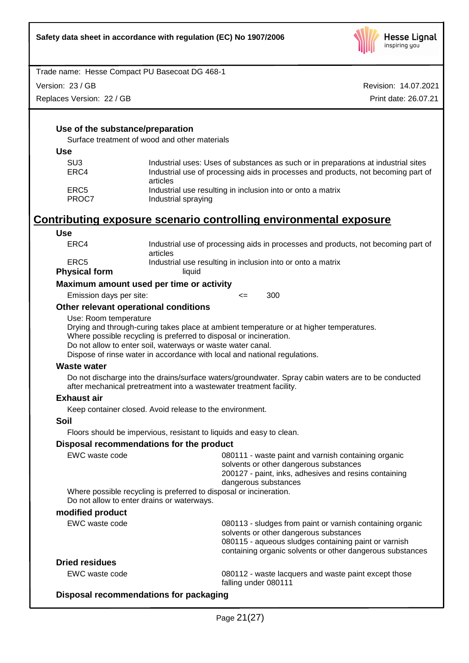

Version: 23 / GB

Replaces Version: 22 / GB

Revision: 14.07.2021 Print date: 26.07.21

## **Use of the substance/preparation**

Surface treatment of wood and other materials

| ×<br>×<br>٠<br>٠<br>۰,<br>ł<br>$-$<br>۰.<br>.,<br>M |
|-----------------------------------------------------|
|-----------------------------------------------------|

| SU3           | Industrial uses: Uses of substances as such or in preparations at industrial sites            |
|---------------|-----------------------------------------------------------------------------------------------|
| ERC4          | Industrial use of processing aids in processes and products, not becoming part of<br>articles |
| ERC5<br>PROC7 | Industrial use resulting in inclusion into or onto a matrix<br>Industrial spraying            |

# **Contributing exposure scenario controlling environmental exposure**

| <b>Use</b>                               |                                                             |                                                                                                                                                                                                                                            |  |
|------------------------------------------|-------------------------------------------------------------|--------------------------------------------------------------------------------------------------------------------------------------------------------------------------------------------------------------------------------------------|--|
| ERC4                                     | articles                                                    | Industrial use of processing aids in processes and products, not becoming part of                                                                                                                                                          |  |
| ERC <sub>5</sub><br><b>Physical form</b> | liquid                                                      | Industrial use resulting in inclusion into or onto a matrix                                                                                                                                                                                |  |
|                                          | Maximum amount used per time or activity                    |                                                                                                                                                                                                                                            |  |
| Emission days per site:                  |                                                             | 300<br>$\leq$                                                                                                                                                                                                                              |  |
|                                          | Other relevant operational conditions                       |                                                                                                                                                                                                                                            |  |
| Use: Room temperature                    | Do not allow to enter soil, waterways or waste water canal. | Drying and through-curing takes place at ambient temperature or at higher temperatures.<br>Where possible recycling is preferred to disposal or incineration.<br>Dispose of rinse water in accordance with local and national regulations. |  |
| <b>Waste water</b>                       |                                                             |                                                                                                                                                                                                                                            |  |
|                                          |                                                             | Do not discharge into the drains/surface waters/groundwater. Spray cabin waters are to be conducted<br>after mechanical pretreatment into a wastewater treatment facility.                                                                 |  |
| <b>Exhaust air</b>                       |                                                             |                                                                                                                                                                                                                                            |  |
|                                          | Keep container closed. Avoid release to the environment.    |                                                                                                                                                                                                                                            |  |
| <b>Soil</b>                              |                                                             |                                                                                                                                                                                                                                            |  |
|                                          |                                                             | Floors should be impervious, resistant to liquids and easy to clean.                                                                                                                                                                       |  |
|                                          | Disposal recommendations for the product                    |                                                                                                                                                                                                                                            |  |
| EWC waste code                           |                                                             | 080111 - waste paint and varnish containing organic<br>solvents or other dangerous substances<br>200127 - paint, inks, adhesives and resins containing<br>dangerous substances                                                             |  |
|                                          |                                                             | Where possible recycling is preferred to disposal or incineration.                                                                                                                                                                         |  |
|                                          | Do not allow to enter drains or waterways.                  |                                                                                                                                                                                                                                            |  |
| modified product                         |                                                             |                                                                                                                                                                                                                                            |  |
| EWC waste code                           |                                                             | 080113 - sludges from paint or varnish containing organic<br>solvents or other dangerous substances<br>080115 - aqueous sludges containing paint or varnish<br>containing organic solvents or other dangerous substances                   |  |
| <b>Dried residues</b>                    |                                                             |                                                                                                                                                                                                                                            |  |
| EWC waste code                           |                                                             | 080112 - waste lacquers and waste paint except those<br>falling under 080111                                                                                                                                                               |  |

## **Disposal recommendations for packaging**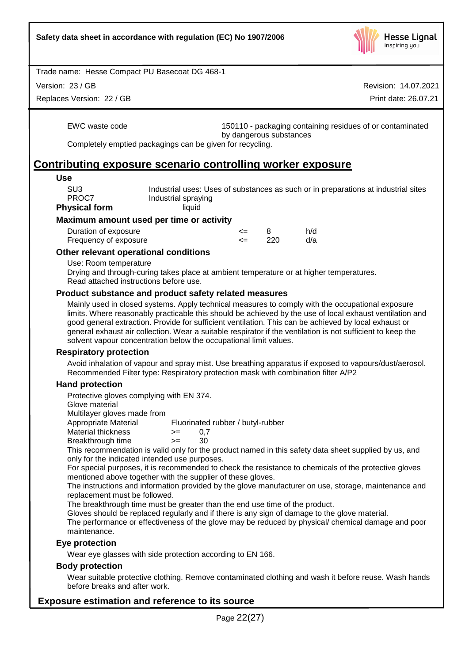

Version: 23 / GB

Replaces Version: 22 / GB

Revision: 14.07.2021 Print date: 26.07.21

EWC waste code 150110 - packaging containing residues of or contaminated by dangerous substances

Completely emptied packagings can be given for recycling.

# **Contributing exposure scenario controlling worker exposure**

#### **Use**

| SU3                  | Industrial uses: Uses of substances as such or in preparations at industrial sites |
|----------------------|------------------------------------------------------------------------------------|
| PROC7                | Industrial spraying                                                                |
| <b>Physical form</b> | liquid                                                                             |

## **Maximum amount used per time or activity**

| Duration of exposure  | <=  |     | h/d |
|-----------------------|-----|-----|-----|
| Frequency of exposure | — ⇒ | 220 | d/a |

## **Other relevant operational conditions**

Use: Room temperature

Drying and through-curing takes place at ambient temperature or at higher temperatures. Read attached instructions before use.

#### **Product substance and product safety related measures**

Mainly used in closed systems. Apply technical measures to comply with the occupational exposure limits. Where reasonably practicable this should be achieved by the use of local exhaust ventilation and good general extraction. Provide for sufficient ventilation. This can be achieved by local exhaust or general exhaust air collection. Wear a suitable respirator if the ventilation is not sufficient to keep the solvent vapour concentration below the occupational limit values.

## **Respiratory protection**

Avoid inhalation of vapour and spray mist. Use breathing apparatus if exposed to vapours/dust/aerosol. Recommended Filter type: Respiratory protection mask with combination filter A/P2

## **Hand protection**

Protective gloves complying with EN 374.

Glove material

Multilayer gloves made from

Appropriate Material Fluorinated rubber / butyl-rubber

- Material thickness  $\ge$  = 0,7
- Breakthrough time >= 30

This recommendation is valid only for the product named in this safety data sheet supplied by us, and only for the indicated intended use purposes.

For special purposes, it is recommended to check the resistance to chemicals of the protective gloves mentioned above together with the supplier of these gloves.

The instructions and information provided by the glove manufacturer on use, storage, maintenance and replacement must be followed.

The breakthrough time must be greater than the end use time of the product.

Gloves should be replaced regularly and if there is any sign of damage to the glove material.

The performance or effectiveness of the glove may be reduced by physical/ chemical damage and poor maintenance.

## **Eye protection**

Wear eye glasses with side protection according to EN 166.

#### **Body protection**

Wear suitable protective clothing. Remove contaminated clothing and wash it before reuse. Wash hands before breaks and after work.

## **Exposure estimation and reference to its source**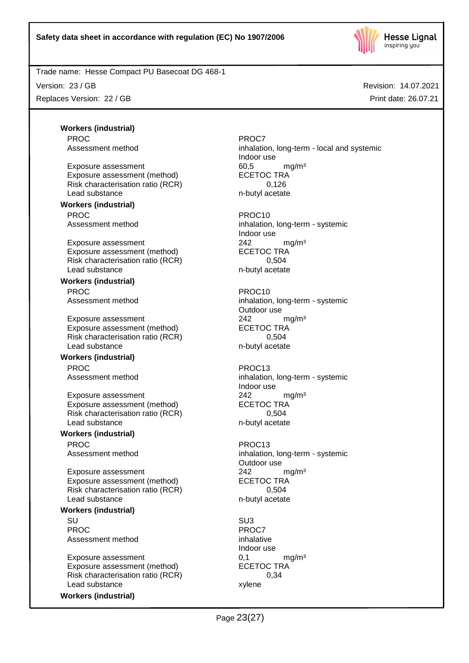

Version: 23 / GB

Replaces Version: 22 / GB

Revision: 14.07.2021 Print date: 26.07.21

**Workers (industrial)** PROC<sup>PROC</sup> PROCT

Exposure assessment and the control of the formulation of the formulation of the formulation of the formulation of the formulation of the exponent of the formulation of the exponent of the exponent of the exponent of the e Exposure assessment (method) Risk characterisation ratio (RCR) 0,126 Lead substance n-butyl acetate

# **Workers (industrial)**

PROC PROCTES ENTERTAINMENT PROCTES

Exposure assessment <br>
Exposure assessment (method) 
<br>
ECETOC TRA Exposure assessment (method) Risk characterisation ratio (RCR) 0,504 Lead substance n-butyl acetate

# **Workers (industrial)**

Exposure assessment 242 mg/m<sup>3</sup> Exposure assessment (method) ECETOC TRA Risk characterisation ratio (RCR) 0,504 Lead substance n-butyl acetate

#### **Workers (industrial)** PROC PROC13

Exposure assessment 242 mg/m<sup>3</sup> Exposure assessment (method) ECETOC TRA Risk characterisation ratio (RCR) 0,504 Lead substance n-butyl acetate

# **Workers (industrial)**

PROC PROC13

Exposure assessment <br>
Exposure assessment (method) 
<br>
ECETOC TRA Exposure assessment (method) Risk characterisation ratio (RCR) 0,504 Lead substance n-butyl acetate

# **Workers (industrial)**

SU SU3 PROC<sup>PROC</sup> PROCT Assessment method inhalative

Exposure assessment  $(method)$  6,1 mg/m<sup>3</sup><br>Exposure assessment (method) ECETOC TRA Exposure assessment (method) ECETOC TR<br>Risk characterisation ratio (RCR) 6.34 Risk characterisation ratio (RCR) Lead substance xylene

**Workers (industrial)**

Assessment method inhalation, long-term - local and systemic Indoor use

Assessment method inhalation, long-term - systemic Indoor use

PROC PROCTES PROCTES PROCTES PROCTES Assessment method inhalation, long-term - systemic Outdoor use

Assessment method inhalation, long-term - systemic Indoor use

Assessment method inhalation, long-term - systemic Outdoor use

Indoor use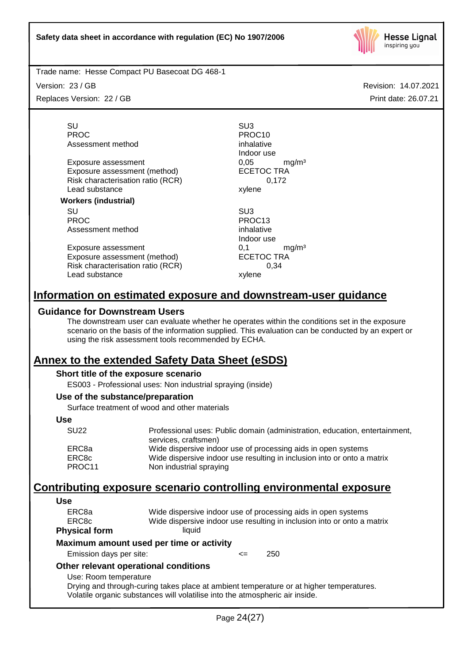

Version: 23 / GB

Replaces Version: 22 / GB

Revision: 14.07.2021 Print date: 26.07.21

SU SU3 PROC PROCTER PROCTER PROCTER PROCTER PROCTER PROCTER PROCTER PROCTER PROCTER PROCTER PROCTER PROCTER PROCTER PROCTER PROCTER PROCTER PROCTER PROCTER PROCTER PROCTER PROCTER PROCTER PROCTER PROCTER PROCTER PROCTER PROCTER P Assessment method inhalative

Exposure assessment  $0,05$  mg/m<sup>3</sup><br>Exposure assessment (method) ECETOC TRA Exposure assessment (method) Risk characterisation ratio (RCR) 0,172 Lead substance xylene

#### **Workers (industrial)**

SU SU3 PROC PROC13<br>Assessment method by the property of the property of the property of the property of the property of the PROC13 Assessment method

Exposure assessment 6.1 mg/m<sup>3</sup> Exposure assessment (method) ECETOC TRA Risk characterisation ratio (RCR) 0,34 Lead substance xylene

Indoor use

Indoor use

# **Information on estimated exposure and downstream-user guidance**

## **Guidance for Downstream Users**

The downstream user can evaluate whether he operates within the conditions set in the exposure scenario on the basis of the information supplied. This evaluation can be conducted by an expert or using the risk assessment tools recommended by ECHA.

# **Annex to the extended Safety Data Sheet (eSDS)**

## **Short title of the exposure scenario**

ES003 - Professional uses: Non industrial spraying (inside)

## **Use of the substance/preparation**

Surface treatment of wood and other materials

## **Use**

| <b>SU22</b> | Professional uses: Public domain (administration, education, entertainment,<br>services, craftsmen) |
|-------------|-----------------------------------------------------------------------------------------------------|
| ERC8a       | Wide dispersive indoor use of processing aids in open systems                                       |
| ERC8c       | Wide dispersive indoor use resulting in inclusion into or onto a matrix                             |
| PROC11      | Non industrial spraying                                                                             |

# **Contributing exposure scenario controlling environmental exposure**

## **Use**

| ERC8a                   | Wide dispersive indoor use of processing aids in open systems           |
|-------------------------|-------------------------------------------------------------------------|
| ERC8c                   | Wide dispersive indoor use resulting in inclusion into or onto a matrix |
| <b>Physical form</b>    | liauid                                                                  |
|                         | Maximum amount used per time or activity                                |
| Emission dave not site: | חבר<br>--                                                               |

# Emission days per site: <= 250

#### **Other relevant operational conditions** Use: Room temperature

Drying and through-curing takes place at ambient temperature or at higher temperatures. Volatile organic substances will volatilise into the atmospheric air inside.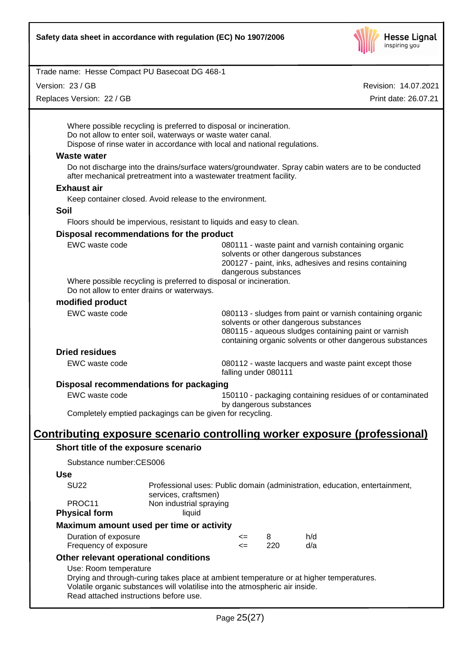

Version: 23 / GB

Replaces Version: 22 / GB

Revision: 14.07.2021 Print date: 26.07.21

Where possible recycling is preferred to disposal or incineration. Do not allow to enter soil, waterways or waste water canal. Dispose of rinse water in accordance with local and national regulations.

#### **Waste water**

Do not discharge into the drains/surface waters/groundwater. Spray cabin waters are to be conducted after mechanical pretreatment into a wastewater treatment facility.

#### **Exhaust air**

Keep container closed. Avoid release to the environment.

#### **Soil**

Floors should be impervious, resistant to liquids and easy to clean.

#### **Disposal recommendations for the product**

| EWC waste code                                                     | 080111 - waste paint and varnish containing organic<br>solvents or other dangerous substances |
|--------------------------------------------------------------------|-----------------------------------------------------------------------------------------------|
|                                                                    | 200127 - paint, inks, adhesives and resins containing                                         |
|                                                                    | dangerous substances                                                                          |
| Where possible recycling is preferred to disposal or incineration. |                                                                                               |
| Do not allow to enter drains or waterways.                         |                                                                                               |

#### **modified product**

| EWC waste code                         | 080113 - sludges from paint or varnish containing organic |
|----------------------------------------|-----------------------------------------------------------|
|                                        | solvents or other dangerous substances                    |
|                                        | 080115 - aqueous sludges containing paint or varnish      |
|                                        | containing organic solvents or other dangerous substances |
| <b>Dried residues</b>                  |                                                           |
| EWC waste code                         | 080112 - waste lacquers and waste paint except those      |
|                                        | falling under 080111                                      |
| Disnosal recommendations for nackaging |                                                           |

#### **Disposal recommendations for packaging**

EWC waste code 150110 - packaging containing residues of or contaminated

by dangerous substances Completely emptied packagings can be given for recycling.

# **Contributing exposure scenario controlling worker exposure (professional)**

## **Short title of the exposure scenario**

Substance number:CES006

#### **Use**

| <b>Physical form</b> | Maximum amount used per time or activity                                    |
|----------------------|-----------------------------------------------------------------------------|
| PROC11               | Non industrial spraying<br>liauid                                           |
|                      | services, craftsmen)                                                        |
| SU <sub>22</sub>     | Professional uses: Public domain (administration, education, entertainment, |

| Duration of exposure  | <= |     | h/d |
|-----------------------|----|-----|-----|
| Frequency of exposure |    | 220 | d/a |

## **Other relevant operational conditions**

## Use: Room temperature

Drying and through-curing takes place at ambient temperature or at higher temperatures. Volatile organic substances will volatilise into the atmospheric air inside. Read attached instructions before use.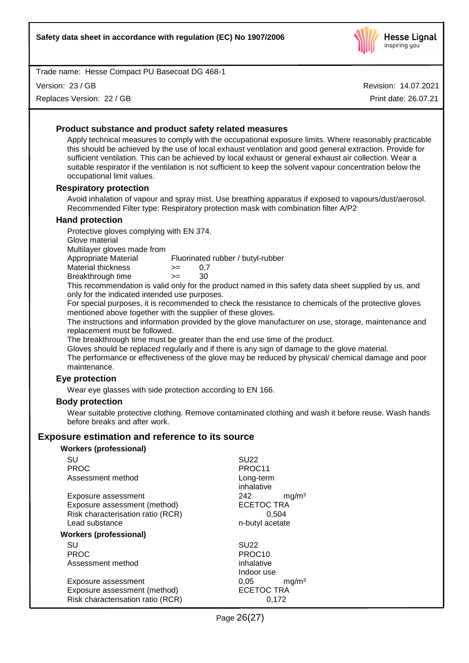

Version: 23 / GB

Replaces Version: 22 / GB

Revision: 14.07.2021 Print date: 26.07.21

## **Product substance and product safety related measures**

Apply technical measures to comply with the occupational exposure limits. Where reasonably practicable this should be achieved by the use of local exhaust ventilation and good general extraction. Provide for sufficient ventilation. This can be achieved by local exhaust or general exhaust air collection. Wear a suitable respirator if the ventilation is not sufficient to keep the solvent vapour concentration below the occupational limit values.

#### **Respiratory protection**

Avoid inhalation of vapour and spray mist. Use breathing apparatus if exposed to vapours/dust/aerosol. Recommended Filter type: Respiratory protection mask with combination filter A/P2

#### **Hand protection**

Protective gloves complying with EN 374.

Glove material

Multilayer gloves made from

Appropriate Material Fluorinated rubber / butyl-rubber

| Material thickness | >= | 0,7 |
|--------------------|----|-----|
|                    |    |     |

Breakthrough time >= 30

This recommendation is valid only for the product named in this safety data sheet supplied by us, and only for the indicated intended use purposes.

For special purposes, it is recommended to check the resistance to chemicals of the protective gloves mentioned above together with the supplier of these gloves.

The instructions and information provided by the glove manufacturer on use, storage, maintenance and replacement must be followed.

The breakthrough time must be greater than the end use time of the product.

Gloves should be replaced regularly and if there is any sign of damage to the glove material.

The performance or effectiveness of the glove may be reduced by physical/ chemical damage and poor maintenance.

## **Eye protection**

Wear eye glasses with side protection according to EN 166.

#### **Body protection**

Wear suitable protective clothing. Remove contaminated clothing and wash it before reuse. Wash hands before breaks and after work.

## **Exposure estimation and reference to its source**

#### **Workers (professional)**

| SU                                | <b>SU22</b>               |
|-----------------------------------|---------------------------|
| <b>PROC</b>                       | PROC11                    |
| Assessment method                 | Long-term                 |
|                                   | inhalative                |
| Exposure assessment               | 242<br>mq/m <sup>3</sup>  |
| Exposure assessment (method)      | <b>ECETOC TRA</b>         |
| Risk characterisation ratio (RCR) | 0.504                     |
| Lead substance                    | n-butyl acetate           |
| <b>Workers (professional)</b>     |                           |
| SU                                | <b>SU22</b>               |
| <b>PROC</b>                       | PROC <sub>10</sub>        |
| Assessment method                 | inhalative                |
|                                   | Indoor use                |
| Exposure assessment               | 0,05<br>mq/m <sup>3</sup> |
| Exposure assessment (method)      | <b>ECETOC TRA</b>         |
| Risk characterisation ratio (RCR) | 0.172                     |
|                                   |                           |